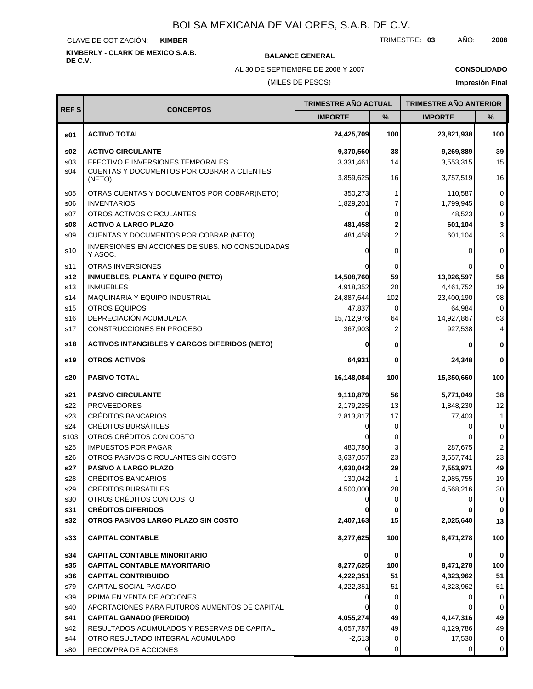CLAVE DE COTIZACIÓN: **KIMBER**

**KIMBERLY - CLARK DE MEXICO S.A.B.**

**BALANCE GENERAL** 

AL 30 DE SEPTIEMBRE DE 2008 Y 2007

### **CONSOLIDADO**

(MILES DE PESOS)

|                 |                                                             | <b>TRIMESTRE AÑO ACTUAL</b> |      | <b>TRIMESTRE AÑO ANTERIOR</b> |                     |
|-----------------|-------------------------------------------------------------|-----------------------------|------|-------------------------------|---------------------|
| <b>REFS</b>     | <b>CONCEPTOS</b>                                            | <b>IMPORTE</b>              | $\%$ | <b>IMPORTE</b>                | %                   |
| \$01            | <b>ACTIVO TOTAL</b>                                         | 24,425,709                  | 100  | 23,821,938                    | 100                 |
| \$02            | <b>ACTIVO CIRCULANTE</b>                                    | 9,370,560                   | 38   | 9,269,889                     | 39                  |
| s <sub>03</sub> | EFECTIVO E INVERSIONES TEMPORALES                           | 3,331,461                   | 14   | 3,553,315                     | 15                  |
| s04             | CUENTAS Y DOCUMENTOS POR COBRAR A CLIENTES<br>(NETO)        | 3,859,625                   | 16   | 3,757,519                     | 16                  |
| \$05            | OTRAS CUENTAS Y DOCUMENTOS POR COBRAR(NETO)                 | 350,273                     | 1    | 110,587                       | $\mathbf 0$         |
| \$06            | <b>INVENTARIOS</b>                                          | 1,829,201                   | 7    | 1,799,945                     | 8                   |
| S <sub>07</sub> | OTROS ACTIVOS CIRCULANTES                                   |                             | 0    | 48,523                        | $\mathsf{O}\xspace$ |
| \$08            | <b>ACTIVO A LARGO PLAZO</b>                                 | 481,458                     | 2    | 601,104                       | $\mathbf{3}$        |
| \$09            | CUENTAS Y DOCUMENTOS POR COBRAR (NETO)                      | 481,458                     | 2    | 601,104                       | 3                   |
| s10             | INVERSIONES EN ACCIONES DE SUBS. NO CONSOLIDADAS<br>Y ASOC. |                             | 0    | O                             | $\mathbf 0$         |
| s11             | <b>OTRAS INVERSIONES</b>                                    |                             | 0    |                               | $\mathbf 0$         |
| s12             | <b>INMUEBLES, PLANTA Y EQUIPO (NETO)</b>                    | 14,508,760                  | 59   | 13,926,597                    | 58                  |
| s13             | <b>INMUEBLES</b>                                            | 4,918,352                   | 20   | 4,461,752                     | 19                  |
| s14             | MAQUINARIA Y EQUIPO INDUSTRIAL                              | 24,887,644                  | 102  | 23,400,190                    | 98                  |
| s15             | <b>OTROS EQUIPOS</b>                                        | 47,837                      | 0    | 64,984                        | $\mathbf 0$         |
| s16             | DEPRECIACIÓN ACUMULADA                                      | 15,712,976                  | 64   | 14,927,867                    | 63                  |
| s17             | CONSTRUCCIONES EN PROCESO                                   | 367,903                     | 2    | 927,538                       | $\overline{4}$      |
| s18             | <b>ACTIVOS INTANGIBLES Y CARGOS DIFERIDOS (NETO)</b>        |                             | 0    |                               | $\mathbf 0$         |
| s19             | <b>OTROS ACTIVOS</b>                                        | 64,931                      | 0    | 24,348                        | $\mathbf 0$         |
| s20             | <b>PASIVO TOTAL</b>                                         | 16,148,084                  | 100  | 15,350,660                    | 100                 |
| s21             | <b>PASIVO CIRCULANTE</b>                                    | 9,110,879                   | 56   | 5,771,049                     | 38                  |
| s22             | <b>PROVEEDORES</b>                                          | 2,179,225                   | 13   | 1,848,230                     | 12                  |
| s23             | CRÉDITOS BANCARIOS                                          | 2,813,817                   | 17   | 77,403                        | 1                   |
| s24             | <b>CRÉDITOS BURSÁTILES</b>                                  |                             | 0    | 0                             | 0                   |
| s103            | OTROS CRÉDITOS CON COSTO                                    |                             | 0    |                               | 0                   |
| s25             | <b>IMPUESTOS POR PAGAR</b>                                  | 480,780                     | 3    | 287,675                       | $\mathbf{2}$        |
| s26             | OTROS PASIVOS CIRCULANTES SIN COSTO                         | 3,637,057                   | 23   | 3,557,741                     | 23                  |
| s27             | PASIVO A LARGO PLAZO                                        | 4,630,042                   | 29   | 7,553,971                     | 49                  |
| s28             | <b>CRÉDITOS BANCARIOS</b>                                   | 130,042                     | 1    | 2,985,755                     | 19                  |
| s29             | <b>CRÉDITOS BURSÁTILES</b>                                  | 4,500,000                   | 28   | 4,568,216                     | 30                  |
| s30             | OTROS CRÉDITOS CON COSTO                                    |                             | 0    |                               | 0                   |
| s31             | <b>CRÉDITOS DIFERIDOS</b>                                   |                             |      |                               | 0                   |
| s32             | OTROS PASIVOS LARGO PLAZO SIN COSTO                         | 2,407,163                   | 15   | 2,025,640                     | 13                  |
| s33             | <b>CAPITAL CONTABLE</b>                                     | 8,277,625                   | 100  | 8,471,278                     | 100                 |
| s34             | <b>CAPITAL CONTABLE MINORITARIO</b>                         |                             | 0    |                               | 0                   |
| s35             | <b>CAPITAL CONTABLE MAYORITARIO</b>                         | 8,277,625                   | 100  | 8,471,278                     | 100                 |
| s36             | <b>CAPITAL CONTRIBUIDO</b>                                  | 4,222,351                   | 51   | 4,323,962                     | 51                  |
| s79             | CAPITAL SOCIAL PAGADO                                       | 4,222,351                   | 51   | 4,323,962                     | 51                  |
| s39             | PRIMA EN VENTA DE ACCIONES                                  |                             | 0    |                               | 0                   |
| s40             | APORTACIONES PARA FUTUROS AUMENTOS DE CAPITAL               |                             | 0    | 0                             | 0                   |
| s41             | <b>CAPITAL GANADO (PERDIDO)</b>                             | 4,055,274                   | 49   | 4,147,316                     | 49                  |
| s42             | RESULTADOS ACUMULADOS Y RESERVAS DE CAPITAL                 | 4,057,787                   | 49   | 4,129,786                     | 49                  |
| s44             | OTRO RESULTADO INTEGRAL ACUMULADO                           | $-2,513$                    | 0    | 17,530                        | 0                   |
| s80             | RECOMPRA DE ACCIONES                                        | 0                           | 0    | 0                             | 0                   |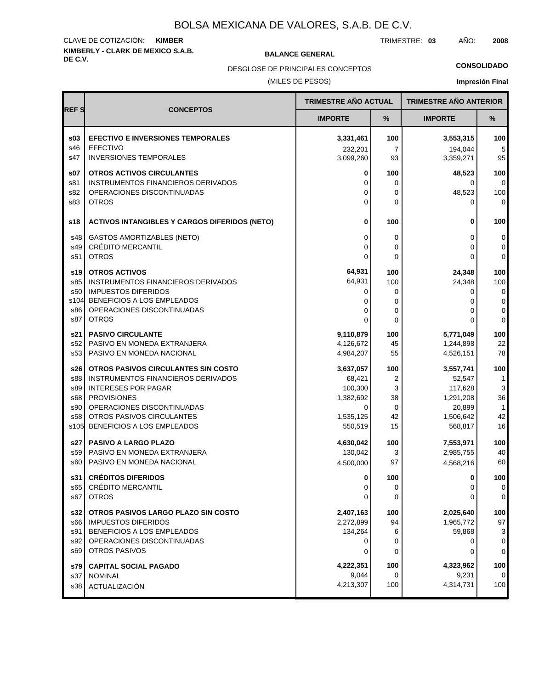#### **KIMBERLY - CLARK DE MEXICO S.A.B.** CLAVE DE COTIZACIÓN: **KIMBER**

**BALANCE GENERAL** 

TRIMESTRE: **03** AÑO: **2008**

**CONSOLIDADO**

(MILES DE PESOS) DESGLOSE DE PRINCIPALES CONCEPTOS

|             |                                                                  | TRIMESTRE AÑO ACTUAL   |                      | <b>TRIMESTRE AÑO ANTERIOR</b> |                    |
|-------------|------------------------------------------------------------------|------------------------|----------------------|-------------------------------|--------------------|
| <b>REFS</b> | <b>CONCEPTOS</b>                                                 | <b>IMPORTE</b>         | %                    | <b>IMPORTE</b>                | %                  |
| \$03        | <b>EFECTIVO E INVERSIONES TEMPORALES</b>                         | 3,331,461              | 100                  | 3,553,315                     | 100                |
| s46<br>s47  | <b>EFECTIVO</b><br><b>INVERSIONES TEMPORALES</b>                 | 232,201<br>3,099,260   | $\overline{7}$<br>93 | 194.044<br>3,359,271          | 5<br>95            |
| s07         | <b>OTROS ACTIVOS CIRCULANTES</b>                                 | 0                      | 100                  | 48,523                        | 100                |
| s81<br>s82  | INSTRUMENTOS FINANCIEROS DERIVADOS<br>OPERACIONES DISCONTINUADAS | 0<br>0                 | 0<br>0               | 0<br>48,523                   | 0 <br>100          |
| s83         | <b>OTROS</b>                                                     | 0                      | 0                    | 0                             | $\mathbf 0$        |
| s18         | <b>ACTIVOS INTANGIBLES Y CARGOS DIFERIDOS (NETO)</b>             | 0                      | 100                  | 0                             | 100                |
| s48<br>s49  | <b>GASTOS AMORTIZABLES (NETO)</b><br>CRÉDITO MERCANTIL           | 0<br>0                 | 0<br>0               | 0<br>0                        | 0<br>0             |
| s51         | <b>OTROS</b>                                                     | 0                      | 0                    | 0                             | 0                  |
| s19         | <b>OTROS ACTIVOS</b>                                             | 64,931<br>64,931       | 100                  | 24,348                        | 100                |
| s85<br>s50  | INSTRUMENTOS FINANCIEROS DERIVADOS<br><b>IMPUESTOS DIFERIDOS</b> | 0                      | 100<br>0             | 24,348<br>0                   | 100<br>$\mathbf 0$ |
| s104<br>s86 | BENEFICIOS A LOS EMPLEADOS<br>OPERACIONES DISCONTINUADAS         | 0                      | 0                    | 0                             | 0                  |
| s87         | <b>OTROS</b>                                                     | 0<br>0                 | 0<br>0               | 0<br>$\Omega$                 | $\mathsf 0$<br>0   |
| s21         | <b>PASIVO CIRCULANTE</b>                                         | 9,110,879              | 100                  | 5,771,049                     | 100                |
| s52<br>s53  | PASIVO EN MONEDA EXTRANJERA<br>PASIVO EN MONEDA NACIONAL         | 4,126,672<br>4,984,207 | 45<br>55             | 1,244,898<br>4,526,151        | 22<br>78           |
| s26         | OTROS PASIVOS CIRCULANTES SIN COSTO                              | 3,637,057              | 100                  | 3,557,741                     | 100                |
| s88         | INSTRUMENTOS FINANCIEROS DERIVADOS                               | 68,421                 | 2                    | 52,547                        | 1                  |
| s89         | <b>INTERESES POR PAGAR</b>                                       | 100,300                | 3                    | 117,628                       | 3                  |
| s68<br>s90  | <b>PROVISIONES</b><br>OPERACIONES DISCONTINUADAS                 | 1,382,692<br>0         | 38<br>0              | 1,291,208<br>20,899           | 36<br>$\mathbf{1}$ |
| s58         | OTROS PASIVOS CIRCULANTES                                        | 1,535,125              | 42                   | 1,506,642                     | 42                 |
| s105        | BENEFICIOS A LOS EMPLEADOS                                       | 550,519                | 15                   | 568,817                       | 16                 |
| s27         | PASIVO A LARGO PLAZO                                             | 4,630,042              | 100                  | 7,553,971                     | 100                |
| s59<br>s60  | PASIVO EN MONEDA EXTRANJERA<br>PASIVO EN MONEDA NACIONAL         | 130,042<br>4,500,000   | 3<br>97              | 2,985,755<br>4,568,216        | 40<br>60           |
|             | s31 CRÉDITOS DIFERIDOS                                           | $\mathbf{0}$           | 100                  | 0                             | 100                |
| s65         | <b>CRÉDITO MERCANTIL</b>                                         | 0                      | 0                    | 0                             | 0                  |
| s67         | <b>OTROS</b>                                                     | 0                      | 0                    | 0                             | 0                  |
| s32         | OTROS PASIVOS LARGO PLAZO SIN COSTO                              | 2,407,163              | 100                  | 2,025,640                     | 100                |
| s66<br>s91  | <b>IMPUESTOS DIFERIDOS</b><br>BENEFICIOS A LOS EMPLEADOS         | 2,272,899<br>134,264   | 94                   | 1,965,772<br>59,868           | 97                 |
| s92         | OPERACIONES DISCONTINUADAS                                       | 0                      | 6<br>0               | 0                             | 3<br>0             |
| s69         | OTROS PASIVOS                                                    | 0                      | 0                    | 0                             | 0                  |
| s79         | <b>CAPITAL SOCIAL PAGADO</b>                                     | 4,222,351              | 100                  | 4,323,962                     | 100                |
| s37<br>s38  | <b>NOMINAL</b><br>ACTUALIZACIÓN                                  | 9,044<br>4,213,307     | 0<br>100             | 9,231<br>4,314,731            | 0<br>100           |
|             |                                                                  |                        |                      |                               |                    |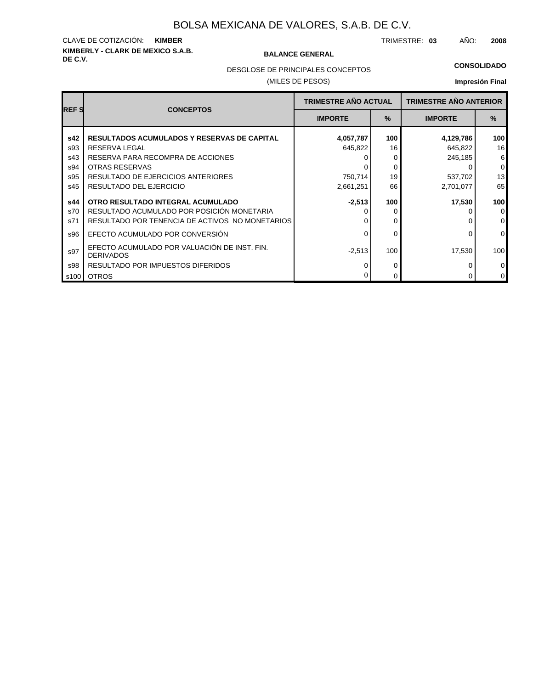# **KIMBERLY - CLARK DE MEXICO S.A.B.** CLAVE DE COTIZACIÓN: **KIMBER**

#### **BALANCE GENERAL**

TRIMESTRE: **03** AÑO: **2008**

#### **CONSOLIDADO**

DESGLOSE DE PRINCIPALES CONCEPTOS

#### (MILES DE PESOS)

| <b>REFS</b> |                                                                  | <b>TRIMESTRE AÑO ACTUAL</b> |               | <b>TRIMESTRE AÑO ANTERIOR</b> |                  |
|-------------|------------------------------------------------------------------|-----------------------------|---------------|-------------------------------|------------------|
|             | <b>CONCEPTOS</b>                                                 | <b>IMPORTE</b>              | $\frac{9}{6}$ | <b>IMPORTE</b>                | %                |
| s42         | <b>RESULTADOS ACUMULADOS Y RESERVAS DE CAPITAL</b>               | 4,057,787                   | 100           | 4,129,786                     | 100 <sub>l</sub> |
| s93         | RESERVA LEGAL                                                    | 645,822                     | 16            | 645,822                       | 16               |
| s43         | RESERVA PARA RECOMPRA DE ACCIONES                                |                             | 0             | 245,185                       | $6 \mid$         |
| s94         | <b>OTRAS RESERVAS</b>                                            |                             | 0             | C                             | $\overline{0}$   |
| s95         | RESULTADO DE EJERCICIOS ANTERIORES                               | 750,714                     | 19            | 537,702                       | 13               |
| s45         | RESULTADO DEL EJERCICIO                                          | 2,661,251                   | 66            | 2,701,077                     | 65               |
| s44         | OTRO RESULTADO INTEGRAL ACUMULADO                                | $-2,513$                    | 100           | 17,530                        | 100 <sub>l</sub> |
| s70         | RESULTADO ACUMULADO POR POSICIÓN MONETARIA                       |                             | 0             |                               | 0                |
| s71         | RESULTADO POR TENENCIA DE ACTIVOS NO MONETARIOS                  |                             | 0             |                               | $\overline{0}$   |
| s96         | EFECTO ACUMULADO POR CONVERSIÓN                                  |                             | 0             | 0                             | $\overline{0}$   |
| s97         | EFECTO ACUMULADO POR VALUACIÓN DE INST. FIN.<br><b>DERIVADOS</b> | $-2,513$                    | 100           | 17,530                        | 100 <sub>l</sub> |
| s98         | RESULTADO POR IMPUESTOS DIFERIDOS                                |                             | 0             |                               | $\overline{0}$   |
| s100        | <b>OTROS</b>                                                     |                             | 0             |                               | $\overline{0}$   |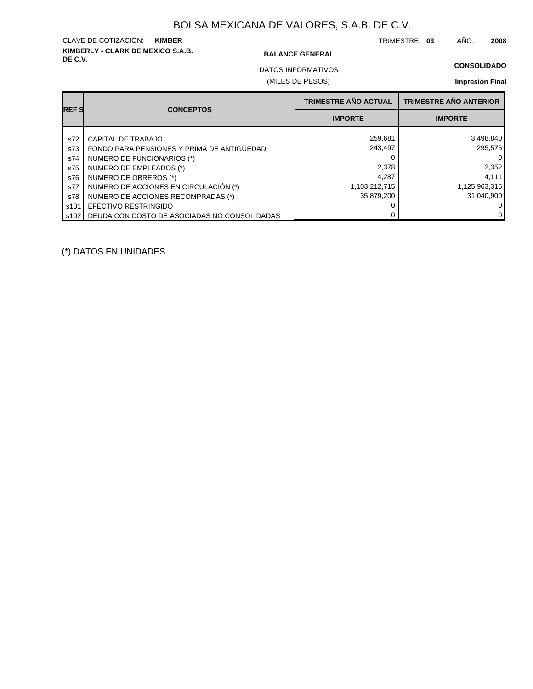# **KIMBERLY - CLARK DE MEXICO S.A.B.** CLAVE DE COTIZACIÓN: **KIMBER**

#### **BALANCE GENERAL**

TRIMESTRE: **03** AÑO: **2008**

#### **CONSOLIDADO**

(MILES DE PESOS) DATOS INFORMATIVOS

### **Impresión Final**

| <b>IREF S</b> | <b>CONCEPTOS</b>                             | <b>TRIMESTRE AÑO ACTUAL</b> | <b>TRIMESTRE AÑO ANTERIOR</b> |
|---------------|----------------------------------------------|-----------------------------|-------------------------------|
|               |                                              | <b>IMPORTE</b>              | <b>IMPORTE</b>                |
| s72           | CAPITAL DE TRABAJO                           | 259,681                     | 3,498,840                     |
| s73           | FONDO PARA PENSIONES Y PRIMA DE ANTIGÜEDAD   | 243,497                     | 295,575                       |
| s74           | NUMERO DE FUNCIONARIOS (*)                   |                             | 0                             |
| s75           | NUMERO DE EMPLEADOS (*)                      | 2,378                       | 2,352                         |
| s76           | NUMERO DE OBREROS (*)                        | 4.287                       | 4,111                         |
| s77           | NUMERO DE ACCIONES EN CIRCULACIÓN (*)        | 1,103,212,715               | 1,125,963,315                 |
| s78           | NUMERO DE ACCIONES RECOMPRADAS (*)           | 35.879.200                  | 31,040,900                    |
| s101          | EFECTIVO RESTRINGIDO                         |                             | 0                             |
| s102 l        | DEUDA CON COSTO DE ASOCIADAS NO CONSOLIDADAS |                             | 0                             |

(\*) DATOS EN UNIDADES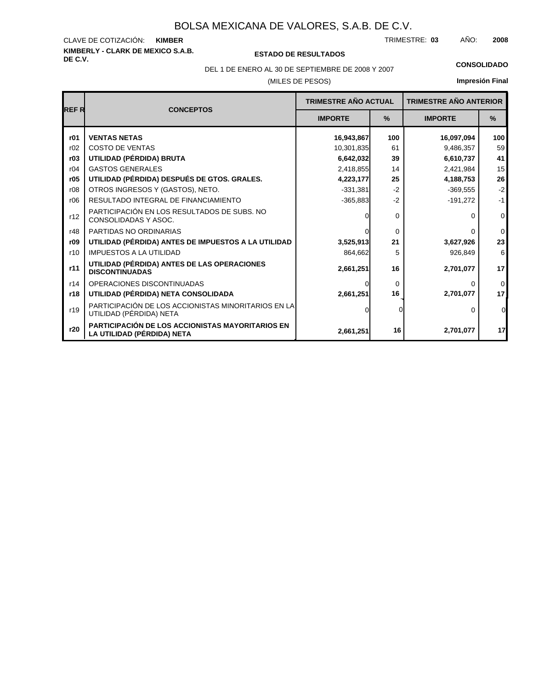# **KIMBERLY - CLARK DE MEXICO S.A.B.** CLAVE DE COTIZACIÓN:

**DE C.V. ESTADO DE RESULTADOS**

TRIMESTRE: AÑO: **KIMBER 03 2008**

# DEL 1 DE ENERO AL 30 DE SEPTIEMBRE DE 2008 Y 2007 **CONSOLIDADO**

(MILES DE PESOS)

| <b>REFR</b> | <b>CONCEPTOS</b>                                                               | <b>TRIMESTRE AÑO ACTUAL</b> |               | <b>TRIMESTRE AÑO ANTERIOR</b> |                |
|-------------|--------------------------------------------------------------------------------|-----------------------------|---------------|-------------------------------|----------------|
|             |                                                                                | <b>IMPORTE</b>              | $\frac{9}{6}$ | <b>IMPORTE</b>                | $\frac{9}{6}$  |
| r01         | <b>VENTAS NETAS</b>                                                            | 16,943,867                  | 100           | 16,097,094                    | 100            |
| r02         | <b>COSTO DE VENTAS</b>                                                         | 10,301,835                  | 61            | 9,486,357                     | 59             |
| r03         | UTILIDAD (PÉRDIDA) BRUTA                                                       | 6,642,032                   | 39            | 6,610,737                     | 41             |
| r04         | <b>GASTOS GENERALES</b>                                                        | 2,418,855                   | 14            | 2,421,984                     | 15             |
| r05         | UTILIDAD (PÉRDIDA) DESPUÉS DE GTOS. GRALES.                                    | 4,223,177                   | 25            | 4,188,753                     | 26             |
| r08         | OTROS INGRESOS Y (GASTOS), NETO.                                               | $-331,381$                  | $-2$          | $-369,555$                    | $-2$           |
| r06         | RESULTADO INTEGRAL DE FINANCIAMIENTO                                           | $-365,883$                  | $-2$          | $-191,272$                    | $-1$           |
| r12         | PARTICIPACIÓN EN LOS RESULTADOS DE SUBS. NO<br>CONSOLIDADAS Y ASOC.            |                             | 0             | 0                             | $\mathbf{0}$   |
| r48         | PARTIDAS NO ORDINARIAS                                                         |                             | $\Omega$      | U                             | $\mathbf{0}$   |
| r09         | UTILIDAD (PÉRDIDA) ANTES DE IMPUESTOS A LA UTILIDAD                            | 3,525,913                   | 21            | 3,627,926                     | 23             |
| r10         | <b>IMPUESTOS A LA UTILIDAD</b>                                                 | 864,662                     | 5             | 926,849                       | 6              |
| r11         | UTILIDAD (PÉRDIDA) ANTES DE LAS OPERACIONES<br><b>DISCONTINUADAS</b>           | 2,661,251                   | 16            | 2,701,077                     | 17             |
| r14         | OPERACIONES DISCONTINUADAS                                                     |                             | $\Omega$      | 0                             | $\mathbf 0$    |
| r18         | UTILIDAD (PÉRDIDA) NETA CONSOLIDADA                                            | 2,661,251                   | 16            | 2,701,077                     | 17             |
| r19         | PARTICIPACIÓN DE LOS ACCIONISTAS MINORITARIOS EN LA<br>UTILIDAD (PÉRDIDA) NETA |                             |               | 0                             | $\overline{0}$ |
| r20         | PARTICIPACIÓN DE LOS ACCIONISTAS MAYORITARIOS EN<br>LA UTILIDAD (PÉRDIDA) NETA | 2,661,251                   | 16            | 2,701,077                     | 17             |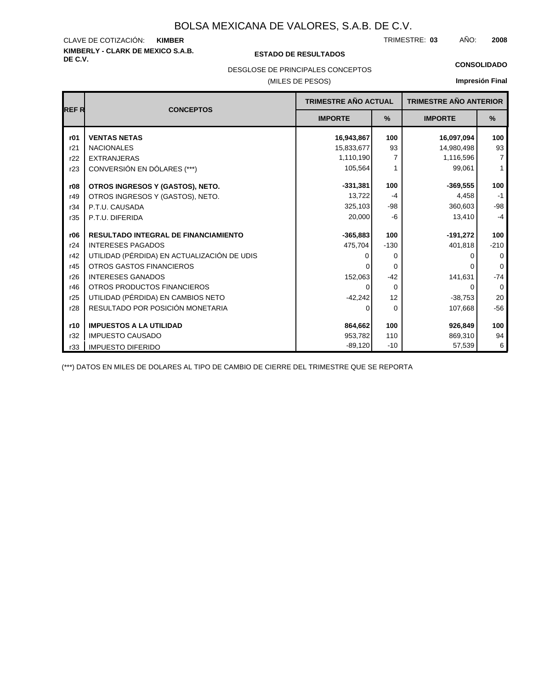# **KIMBERLY - CLARK DE MEXICO S.A.B.** CLAVE DE COTIZACIÓN:

#### **DE C.V. ESTADO DE RESULTADOS**

TRIMESTRE: AÑO: **KIMBER 03 2008**

**CONSOLIDADO**

### DESGLOSE DE PRINCIPALES CONCEPTOS

#### (MILES DE PESOS)

# **Impresión Final**

| <b>REFR</b> | <b>CONCEPTOS</b>                            | <b>TRIMESTRE AÑO ACTUAL</b> |               | <b>TRIMESTRE AÑO ANTERIOR</b> |                |
|-------------|---------------------------------------------|-----------------------------|---------------|-------------------------------|----------------|
|             |                                             | <b>IMPORTE</b>              | $\frac{9}{6}$ | <b>IMPORTE</b>                | %              |
| r01         | <b>VENTAS NETAS</b>                         | 16,943,867                  | 100           | 16,097,094                    | 100            |
| r21         | <b>NACIONALES</b>                           | 15,833,677                  | 93            | 14,980,498                    | 93             |
| r22         | <b>EXTRANJERAS</b>                          | 1,110,190                   | 7             | 1,116,596                     | $\overline{7}$ |
| r23         | CONVERSIÓN EN DÓLARES (***)                 | 105,564                     | 1             | 99,061                        | $\mathbf{1}$   |
| r08         | OTROS INGRESOS Y (GASTOS), NETO.            | $-331,381$                  | 100           | $-369,555$                    | 100            |
| r49         | OTROS INGRESOS Y (GASTOS), NETO.            | 13,722                      | $-4$          | 4,458                         | $-1$           |
| r34         | P.T.U. CAUSADA                              | 325,103                     | -98           | 360,603                       | $-98$          |
| r35         | P.T.U. DIFERIDA                             | 20,000                      | -6            | 13,410                        | $-4$           |
| r06         | <b>RESULTADO INTEGRAL DE FINANCIAMIENTO</b> | $-365,883$                  | 100           | $-191,272$                    | 100            |
| r24         | <b>INTERESES PAGADOS</b>                    | 475.704                     | $-130$        | 401,818                       | $-210$         |
| r42         | UTILIDAD (PÉRDIDA) EN ACTUALIZACIÓN DE UDIS | O                           | 0             | O                             | 0              |
| r45         | OTROS GASTOS FINANCIEROS                    |                             | $\Omega$      |                               | $\Omega$       |
| r26         | <b>INTERESES GANADOS</b>                    | 152,063                     | $-42$         | 141,631                       | $-74$          |
| r46         | OTROS PRODUCTOS FINANCIEROS                 | 0                           | $\Omega$      | 0                             | $\mathbf 0$    |
| r25         | UTILIDAD (PÉRDIDA) EN CAMBIOS NETO          | $-42,242$                   | 12            | $-38,753$                     | 20             |
| r28         | RESULTADO POR POSICIÓN MONETARIA            | 0                           | $\Omega$      | 107,668                       | $-56$          |
| r10         | <b>IMPUESTOS A LA UTILIDAD</b>              | 864,662                     | 100           | 926,849                       | 100            |
| r32         | <b>IMPUESTO CAUSADO</b>                     | 953,782                     | 110           | 869,310                       | 94             |
| r33         | <b>IMPUESTO DIFERIDO</b>                    | $-89,120$                   | $-10$         | 57,539                        | 6              |

(\*\*\*) DATOS EN MILES DE DOLARES AL TIPO DE CAMBIO DE CIERRE DEL TRIMESTRE QUE SE REPORTA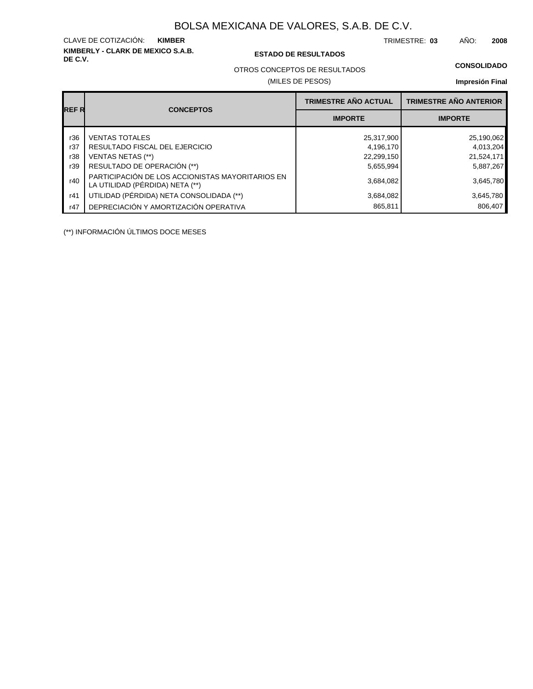# **KIMBERLY - CLARK DE MEXICO S.A.B.** CLAVE DE COTIZACIÓN:

#### **DE C.V. ESTADO DE RESULTADOS**

TRIMESTRE: AÑO: **KIMBER 03 2008**

#### **CONSOLIDADO**

OTROS CONCEPTOS DE RESULTADOS

### (MILES DE PESOS)

#### **Impresión Final**

|             | <b>CONCEPTOS</b>                                                                    | <b>TRIMESTRE AÑO ACTUAL</b> | <b>TRIMESTRE AÑO ANTERIOR</b> |
|-------------|-------------------------------------------------------------------------------------|-----------------------------|-------------------------------|
| <b>REFR</b> |                                                                                     | <b>IMPORTE</b>              | <b>IMPORTE</b>                |
| r36         | <b>VENTAS TOTALES</b>                                                               | 25,317,900                  | 25,190,062                    |
| r37         | RESULTADO FISCAL DEL EJERCICIO                                                      | 4,196,170                   | 4,013,204                     |
| r38         | VENTAS NETAS (**)                                                                   | 22,299,150                  | 21,524,171                    |
| r39         | RESULTADO DE OPERACIÓN (**)                                                         | 5,655,994                   | 5,887,267                     |
| r40         | PARTICIPACIÓN DE LOS ACCIONISTAS MAYORITARIOS EN<br>LA UTILIDAD (PÉRDIDA) NETA (**) | 3,684,082                   | 3,645,780                     |
| r41         | UTILIDAD (PÉRDIDA) NETA CONSOLIDADA (**)                                            | 3,684,082                   | 3,645,780                     |
| r47         | DEPRECIACIÓN Y AMORTIZACIÓN OPERATIVA                                               | 865,811                     | 806,407                       |

(\*\*) INFORMACIÓN ÚLTIMOS DOCE MESES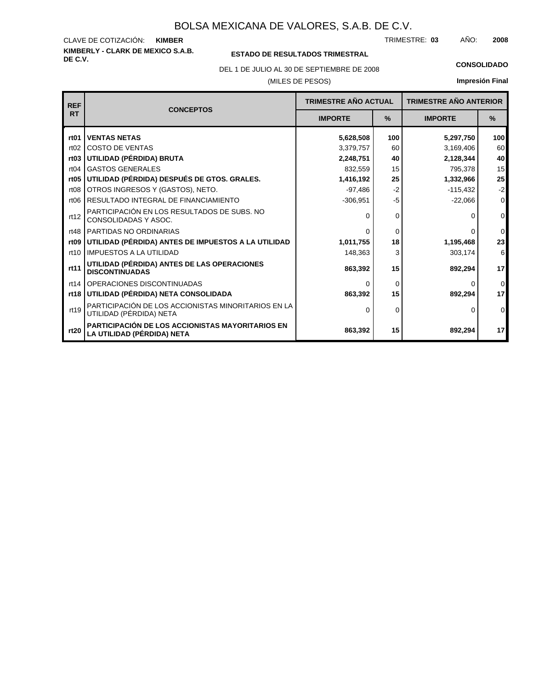**KIMBERLY - CLARK DE MEXICO S.A.B.** CLAVE DE COTIZACIÓN: TRIMESTRE: AÑO: **KIMBER 03 2008**

### **ESTADO DE RESULTADOS TRIMESTRAL**

(MILES DE PESOS) DEL 1 DE JULIO AL 30 DE SEPTIEMBRE DE 2008 **CONSOLIDADO**

| <b>REF</b>       |                                                                                |                | <b>TRIMESTRE AÑO ACTUAL</b> |                | <b>TRIMESTRE AÑO ANTERIOR</b> |
|------------------|--------------------------------------------------------------------------------|----------------|-----------------------------|----------------|-------------------------------|
| <b>RT</b>        | <b>CONCEPTOS</b>                                                               | <b>IMPORTE</b> | %                           | <b>IMPORTE</b> | $\frac{9}{6}$                 |
| rt01             | <b>VENTAS NETAS</b>                                                            | 5,628,508      | 100                         | 5,297,750      | 100 <sub>l</sub>              |
| rt02             | <b>COSTO DE VENTAS</b>                                                         | 3,379,757      | 60                          | 3,169,406      | 60                            |
| rt <sub>03</sub> | UTILIDAD (PÉRDIDA) BRUTA                                                       | 2,248,751      | 40                          | 2,128,344      | 40                            |
| rt04             | <b>GASTOS GENERALES</b>                                                        | 832,559        | 15                          | 795,378        | 15                            |
| rt <sub>05</sub> | UTILIDAD (PÉRDIDA) DESPUÉS DE GTOS. GRALES.                                    | 1,416,192      | 25                          | 1,332,966      | 25                            |
| rt <sub>08</sub> | OTROS INGRESOS Y (GASTOS), NETO.                                               | $-97,486$      | $-2$                        | $-115,432$     | $-2$                          |
| rt <sub>06</sub> | <b>RESULTADO INTEGRAL DE FINANCIAMIENTO</b>                                    | $-306,951$     | $-5$                        | $-22,066$      | $\overline{0}$                |
| rt12             | PARTICIPACIÓN EN LOS RESULTADOS DE SUBS. NO<br>CONSOLIDADAS Y ASOC.            | 0              | 0                           | O              | $\overline{0}$                |
| rt48             | PARTIDAS NO ORDINARIAS                                                         | $\Omega$       | 0                           |                | $\overline{0}$                |
| rt <sub>09</sub> | UTILIDAD (PÉRDIDA) ANTES DE IMPUESTOS A LA UTILIDAD                            | 1,011,755      | 18                          | 1,195,468      | 23                            |
| rt10             | <b>IMPUESTOS A LA UTILIDAD</b>                                                 | 148,363        | 3                           | 303,174        | $6 \mid$                      |
| rt11             | UTILIDAD (PÉRDIDA) ANTES DE LAS OPERACIONES<br><b>DISCONTINUADAS</b>           | 863,392        | 15                          | 892,294        | 17                            |
| rt14             | OPERACIONES DISCONTINUADAS                                                     | 0              | 0                           |                | $\overline{0}$                |
| rt18             | UTILIDAD (PÉRDIDA) NETA CONSOLIDADA                                            | 863,392        | 15                          | 892,294        | 17                            |
| rt19             | PARTICIPACIÓN DE LOS ACCIONISTAS MINORITARIOS EN LA<br>UTILIDAD (PÉRDIDA) NETA | 0              | 0                           |                | $\overline{0}$                |
| rt20             | PARTICIPACIÓN DE LOS ACCIONISTAS MAYORITARIOS EN<br>LA UTILIDAD (PÉRDIDA) NETA | 863,392        | 15                          | 892,294        | 17                            |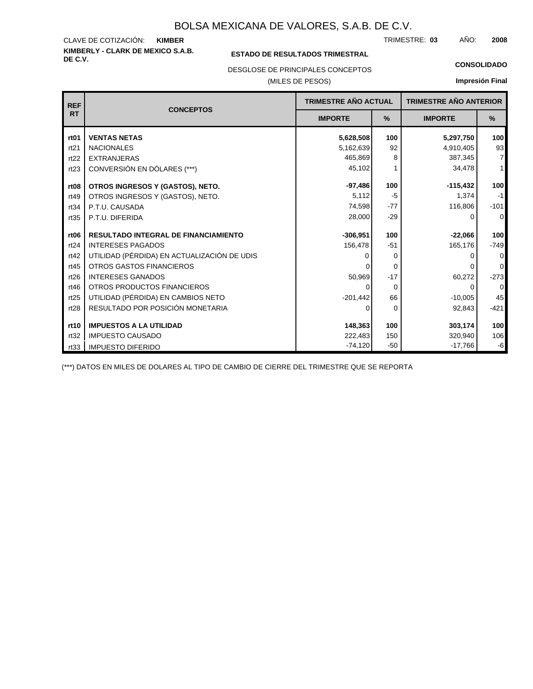#### **KIMBERLY - CLARK DE MEXICO S.A.B.** CLAVE DE COTIZACIÓN: TRIMESTRE: AÑO: **KIMBER 03 2008**

#### **ESTADO DE RESULTADOS TRIMESTRAL**

DESGLOSE DE PRINCIPALES CONCEPTOS

#### (MILES DE PESOS)

#### **CONSOLIDADO**

**Impresión Final**

| <b>REF</b>       | <b>CONCEPTOS</b>                            | <b>TRIMESTRE AÑO ACTUAL</b> |          | <b>TRIMESTRE AÑO ANTERIOR</b> |                |
|------------------|---------------------------------------------|-----------------------------|----------|-------------------------------|----------------|
| <b>RT</b>        |                                             | <b>IMPORTE</b>              | %        | <b>IMPORTE</b>                | %              |
| rt <sub>01</sub> | <b>VENTAS NETAS</b>                         | 5,628,508                   | 100      | 5,297,750                     | 100            |
| rt21             | <b>NACIONALES</b>                           | 5,162,639                   | 92       | 4,910,405                     | 93             |
| rt22             | <b>EXTRANJERAS</b>                          | 465,869                     | 8        | 387,345                       | $\overline{7}$ |
| rt23             | CONVERSIÓN EN DÓLARES (***)                 | 45,102                      |          | 34,478                        | $\mathbf{1}$   |
| rt <sub>08</sub> | OTROS INGRESOS Y (GASTOS), NETO.            | $-97,486$                   | 100      | $-115,432$                    | 100            |
| rt49             | OTROS INGRESOS Y (GASTOS), NETO.            | 5,112                       | $-5$     | 1,374                         | $-1$           |
| rt34             | P.T.U. CAUSADA                              | 74,598                      | $-77$    | 116,806                       | $-101$         |
| rt35             | P.T.U. DIFERIDA                             | 28,000                      | $-29$    | 0                             | $\mathbf 0$    |
| rt <sub>06</sub> | <b>RESULTADO INTEGRAL DE FINANCIAMIENTO</b> | $-306,951$                  | 100      | $-22,066$                     | 100            |
| rt24             | <b>INTERESES PAGADOS</b>                    | 156,478                     | $-51$    | 165,176                       | $-749$         |
| rt42             | UTILIDAD (PÉRDIDA) EN ACTUALIZACIÓN DE UDIS |                             | 0        | 0                             | 0              |
| rt45             | <b>OTROS GASTOS FINANCIEROS</b>             |                             | $\Omega$ |                               | 0              |
| rt26             | <b>INTERESES GANADOS</b>                    | 50,969                      | $-17$    | 60,272                        | $-273$         |
| rt46             | OTROS PRODUCTOS FINANCIEROS                 | ∩                           | $\Omega$ | 0                             | $\overline{0}$ |
| rt25             | UTILIDAD (PÉRDIDA) EN CAMBIOS NETO          | $-201,442$                  | 66       | $-10,005$                     | 45             |
| rt28             | RESULTADO POR POSICIÓN MONETARIA            | 0                           | 0        | 92,843                        | $-421$         |
| rt10             | <b>IMPUESTOS A LA UTILIDAD</b>              | 148,363                     | 100      | 303,174                       | 100            |
| rt32             | <b>IMPUESTO CAUSADO</b>                     | 222,483                     | 150      | 320,940                       | 106            |
| rt33             | <b>IMPUESTO DIFERIDO</b>                    | $-74,120$                   | $-50$    | $-17,766$                     | -6             |

(\*\*\*) DATOS EN MILES DE DOLARES AL TIPO DE CAMBIO DE CIERRE DEL TRIMESTRE QUE SE REPORTA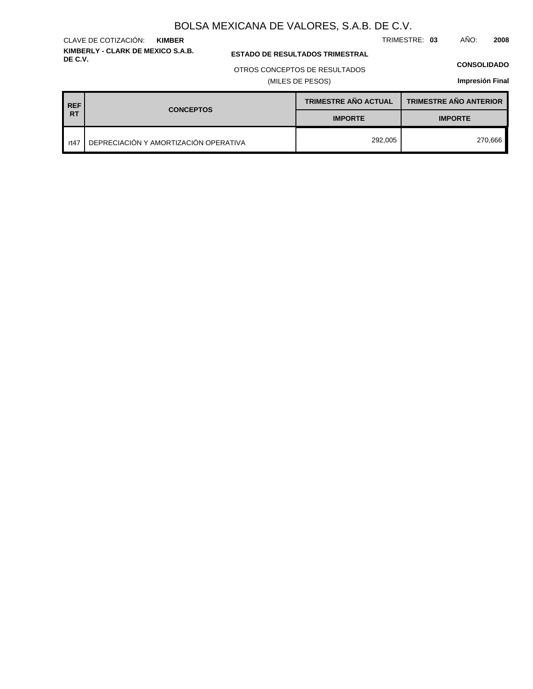TRIMESTRE: **03** AÑO: **2008**

**ESTADO DE RESULTADOS TRIMESTRAL** 

#### OTROS CONCEPTOS DE RESULTADOS

(MILES DE PESOS)

#### **CONSOLIDADO**

**Impresión Final**

| <b>REF</b> | <b>CONCEPTOS</b>                      | <b>TRIMESTRE AÑO ACTUAL</b> | <b>TRIMESTRE AÑO ANTERIOR</b> |
|------------|---------------------------------------|-----------------------------|-------------------------------|
| <b>RT</b>  |                                       | <b>IMPORTE</b>              | <b>IMPORTE</b>                |
| rt47       | DEPRECIACIÓN Y AMORTIZACIÓN OPERATIVA | 292,005                     | 270,666                       |

### **KIMBERLY - CLARK DE MEXICO S.A.B.** CLAVE DE COTIZACIÓN: **KIMBER**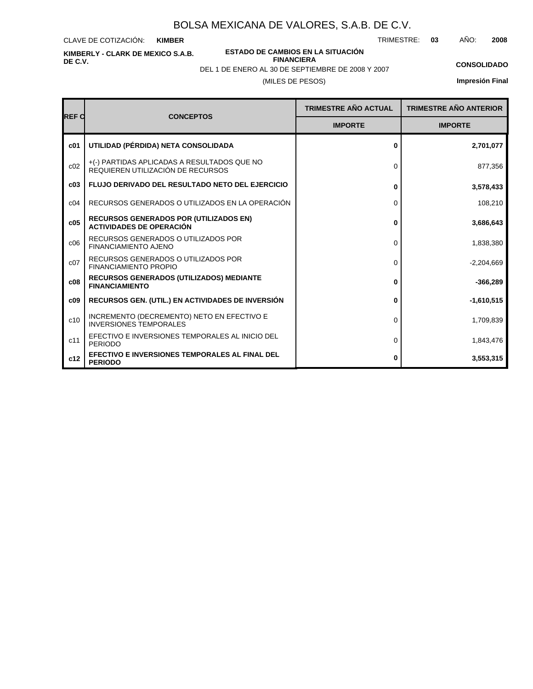CLAVE DE COTIZACIÓN: **KIMBER**

**KIMBERLY - CLARK DE MEXICO S.A.B. DE C.V.**

**ESTADO DE CAMBIOS EN LA SITUACIÓN FINANCIERA**

TRIMESTRE: **03** AÑO: **2008**

**CONSOLIDADO**

(MILES DE PESOS) DEL 1 DE ENERO AL 30 DE SEPTIEMBRE DE 2008 Y 2007

| <b>REF C</b>    | <b>CONCEPTOS</b>                                                                 | TRIMESTRE AÑO ACTUAL | <b>TRIMESTRE AÑO ANTERIOR</b> |
|-----------------|----------------------------------------------------------------------------------|----------------------|-------------------------------|
|                 |                                                                                  | <b>IMPORTE</b>       | <b>IMPORTE</b>                |
| c <sub>01</sub> | UTILIDAD (PÉRDIDA) NETA CONSOLIDADA                                              | 0                    | 2,701,077                     |
| c02             | +(-) PARTIDAS APLICADAS A RESULTADOS QUE NO<br>REQUIEREN UTILIZACIÓN DE RECURSOS | $\Omega$             | 877,356                       |
| c03             | <b>FLUJO DERIVADO DEL RESULTADO NETO DEL EJERCICIO</b>                           | 0                    | 3,578,433                     |
| C <sub>04</sub> | RECURSOS GENERADOS O UTILIZADOS EN LA OPERACIÓN                                  | 0                    | 108,210                       |
| c05             | <b>RECURSOS GENERADOS POR (UTILIZADOS EN)</b><br><b>ACTIVIDADES DE OPERACIÓN</b> | 0                    | 3,686,643                     |
| c06             | RECURSOS GENERADOS O UTILIZADOS POR<br>FINANCIAMIENTO AJENO                      | $\Omega$             | 1,838,380                     |
| c07             | RECURSOS GENERADOS O UTILIZADOS POR<br><b>FINANCIAMIENTO PROPIO</b>              | $\Omega$             | $-2,204,669$                  |
| c08             | <b>RECURSOS GENERADOS (UTILIZADOS) MEDIANTE</b><br><b>FINANCIAMIENTO</b>         | 0                    | $-366,289$                    |
| c09             | RECURSOS GEN. (UTIL.) EN ACTIVIDADES DE INVERSIÓN                                | 0                    | $-1,610,515$                  |
| c10             | INCREMENTO (DECREMENTO) NETO EN EFECTIVO E<br><b>INVERSIONES TEMPORALES</b>      | 0                    | 1,709,839                     |
| c11             | EFECTIVO E INVERSIONES TEMPORALES AL INICIO DEL<br><b>PERIODO</b>                | 0                    | 1,843,476                     |
| c12             | EFECTIVO E INVERSIONES TEMPORALES AL FINAL DEL<br><b>PERIODO</b>                 | 0                    | 3,553,315                     |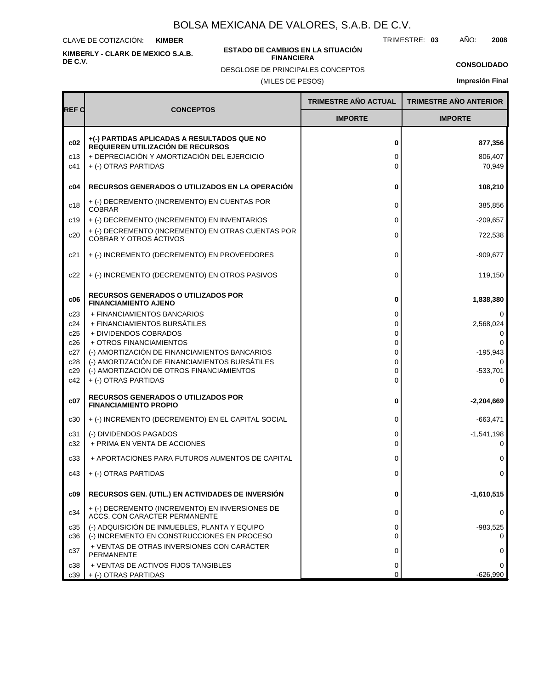CLAVE DE COTIZACIÓN: **KIMBER**

**KIMBERLY - CLARK DE MEXICO S.A.B. DE C.V.**

#### **ESTADO DE CAMBIOS EN LA SITUACIÓN FINANCIERA**

DESGLOSE DE PRINCIPALES CONCEPTOS

TRIMESTRE: **03** AÑO: **2008**

**CONSOLIDADO**

(MILES DE PESOS)

|                   |                                                                                                                                                         | TRIMESTRE AÑO ACTUAL | <b>TRIMESTRE AÑO ANTERIOR</b> |
|-------------------|---------------------------------------------------------------------------------------------------------------------------------------------------------|----------------------|-------------------------------|
| <b>REF C</b>      | <b>CONCEPTOS</b>                                                                                                                                        | <b>IMPORTE</b>       | <b>IMPORTE</b>                |
| c02<br>c13<br>c41 | +(-) PARTIDAS APLICADAS A RESULTADOS QUE NO<br>REQUIEREN UTILIZACIÓN DE RECURSOS<br>+ DEPRECIACIÓN Y AMORTIZACIÓN DEL EJERCICIO<br>+ (-) OTRAS PARTIDAS | 0<br>0<br>0          | 877,356<br>806,407<br>70,949  |
| c04               | RECURSOS GENERADOS O UTILIZADOS EN LA OPERACIÓN                                                                                                         | 0                    | 108,210                       |
| c18               | + (-) DECREMENTO (INCREMENTO) EN CUENTAS POR<br><b>COBRAR</b>                                                                                           | 0                    | 385,856                       |
| c19               | + (-) DECREMENTO (INCREMENTO) EN INVENTARIOS                                                                                                            | 0                    | $-209,657$                    |
| c20               | + (-) DECREMENTO (INCREMENTO) EN OTRAS CUENTAS POR<br><b>COBRAR Y OTROS ACTIVOS</b>                                                                     | 0                    | 722,538                       |
| c21               | + (-) INCREMENTO (DECREMENTO) EN PROVEEDORES                                                                                                            | 0                    | -909,677                      |
| c22               | + (-) INCREMENTO (DECREMENTO) EN OTROS PASIVOS                                                                                                          | 0                    | 119,150                       |
| c06               | <b>RECURSOS GENERADOS O UTILIZADOS POR</b><br><b>FINANCIAMIENTO AJENO</b>                                                                               | 0                    | 1,838,380                     |
| c23               | + FINANCIAMIENTOS BANCARIOS                                                                                                                             | 0                    | 0                             |
| c24<br>c25        | + FINANCIAMIENTOS BURSÁTILES<br>+ DIVIDENDOS COBRADOS                                                                                                   | 0<br>0               | 2,568,024<br>0                |
| c26               | + OTROS FINANCIAMIENTOS                                                                                                                                 | 0                    |                               |
| c27               | (-) AMORTIZACIÓN DE FINANCIAMIENTOS BANCARIOS                                                                                                           | 0                    | $-195,943$                    |
| c28               | (-) AMORTIZACIÓN DE FINANCIAMIENTOS BURSÁTILES                                                                                                          | 0                    | 0                             |
| c29<br>c42        | (-) AMORTIZACIÓN DE OTROS FINANCIAMIENTOS<br>+ (-) OTRAS PARTIDAS                                                                                       | 0<br>0               | $-533,701$<br>0               |
|                   |                                                                                                                                                         |                      |                               |
| c07               | <b>RECURSOS GENERADOS O UTILIZADOS POR</b><br><b>FINANCIAMIENTO PROPIO</b>                                                                              | 0                    | -2,204,669                    |
| c30               | + (-) INCREMENTO (DECREMENTO) EN EL CAPITAL SOCIAL                                                                                                      | 0                    | -663,471                      |
| c31               | (-) DIVIDENDOS PAGADOS                                                                                                                                  | 0                    | $-1,541,198$                  |
| c32               | + PRIMA EN VENTA DE ACCIONES                                                                                                                            | 0                    | 0                             |
| c33               | + APORTACIONES PARA FUTUROS AUMENTOS DE CAPITAL                                                                                                         | 0                    | 0                             |
| c43               | + (-) OTRAS PARTIDAS                                                                                                                                    | 0                    | 0                             |
| c09               | RECURSOS GEN. (UTIL.) EN ACTIVIDADES DE INVERSIÓN                                                                                                       | 0                    | $-1,610,515$                  |
| c34               | + (-) DECREMENTO (INCREMENTO) EN INVERSIONES DE<br>ACCS. CON CARACTER PERMANENTE                                                                        | 0                    | 0                             |
| c35<br>c36        | (-) ADQUISICIÓN DE INMUEBLES, PLANTA Y EQUIPO<br>(-) INCREMENTO EN CONSTRUCCIONES EN PROCESO                                                            | 0<br>0               | $-983,525$<br>0               |
| c37               | + VENTAS DE OTRAS INVERSIONES CON CARÁCTER<br>PERMANENTE                                                                                                | 0                    | 0                             |
| c38<br>c39        | + VENTAS DE ACTIVOS FIJOS TANGIBLES<br>+ (-) OTRAS PARTIDAS                                                                                             | 0<br>0               | 0<br>$-626,990$               |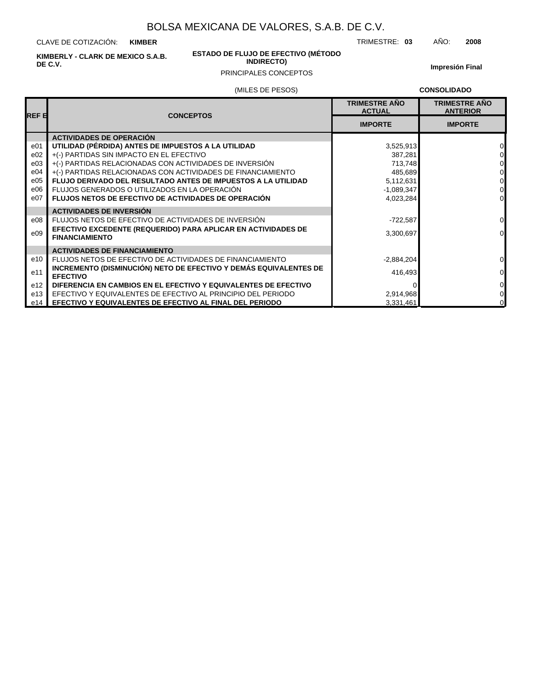CLAVE DE COTIZACIÓN: **KIMBER**

**KIMBERLY - CLARK DE MEXICO S.A.B. DE C.V.**

#### **ESTADO DE FLUJO DE EFECTIVO (MÉTODO INDIRECTO)**

**Impresión Final**

### PRINCIPALES CONCEPTOS

### (MILES DE PESOS)

**CONSOLIDADO**

TRIMESTRE: **03** AÑO: **2008**

| <b>REF E</b>    | <b>CONCEPTOS</b>                                                                     | <b>TRIMESTRE AÑO</b><br><b>ACTUAL</b> | <b>TRIMESTRE ANO</b><br><b>ANTERIOR</b> |
|-----------------|--------------------------------------------------------------------------------------|---------------------------------------|-----------------------------------------|
|                 |                                                                                      | <b>IMPORTE</b>                        | <b>IMPORTE</b>                          |
|                 | <b>ACTIVIDADES DE OPERACIÓN</b>                                                      |                                       |                                         |
| e01             | UTILIDAD (PÉRDIDA) ANTES DE IMPUESTOS A LA UTILIDAD                                  | 3,525,913                             | $\Omega$                                |
| e02             | +(-) PARTIDAS SIN IMPACTO EN EL EFECTIVO                                             | 387,281                               | $\Omega$                                |
| e03             | +(-) PARTIDAS RELACIONADAS CON ACTIVIDADES DE INVERSIÓN                              | 713,748                               | $\Omega$                                |
| e04             | +(-) PARTIDAS RELACIONADAS CON ACTIVIDADES DE FINANCIAMIENTO                         | 485,689                               | $\Omega$                                |
| e05             | <b>FLUJO DERIVADO DEL RESULTADO ANTES DE IMPUESTOS A LA UTILIDAD</b>                 | 5,112,631                             | $\Omega$                                |
| e06             | FLUJOS GENERADOS O UTILIZADOS EN LA OPERACIÓN                                        | $-1,089,347$                          | $\Omega$                                |
| e07             | <b>FLUJOS NETOS DE EFECTIVO DE ACTIVIDADES DE OPERACIÓN</b>                          | 4,023,284                             | $\Omega$                                |
|                 | <b>ACTIVIDADES DE INVERSIÓN</b>                                                      |                                       |                                         |
| e08             | FLUJOS NETOS DE EFECTIVO DE ACTIVIDADES DE INVERSIÓN                                 | $-722,587$                            | $\overline{0}$                          |
| e09             | EFECTIVO EXCEDENTE (REQUERIDO) PARA APLICAR EN ACTIVIDADES DE                        | 3,300,697                             | $\Omega$                                |
|                 | <b>FINANCIAMIENTO</b>                                                                |                                       |                                         |
|                 | <b>ACTIVIDADES DE FINANCIAMIENTO</b>                                                 |                                       |                                         |
| e10             | FLUJOS NETOS DE EFECTIVO DE ACTIVIDADES DE FINANCIAMIENTO                            | $-2,884,204$                          | $\overline{0}$                          |
| e11             | INCREMENTO (DISMINUCIÓN) NETO DE EFECTIVO Y DEMÁS EQUIVALENTES DE<br><b>EFECTIVO</b> | 416,493                               | $\overline{0}$                          |
| e <sub>12</sub> | DIFERENCIA EN CAMBIOS EN EL EFECTIVO Y EQUIVALENTES DE EFECTIVO                      |                                       | $\Omega$                                |
| e13             | EFECTIVO Y EQUIVALENTES DE EFECTIVO AL PRINCIPIO DEL PERIODO                         | 2,914,968                             | $\overline{0}$                          |
| e14             | EFECTIVO Y EQUIVALENTES DE EFECTIVO AL FINAL DEL PERIODO                             | 3,331,461                             | $\overline{0}$                          |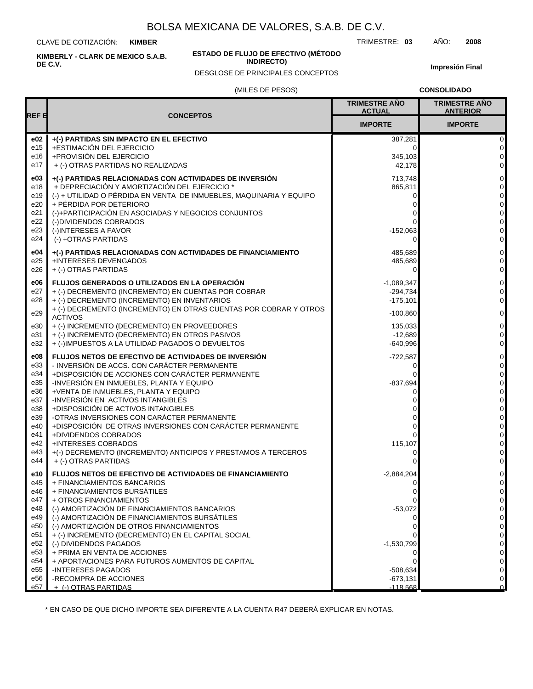CLAVE DE COTIZACIÓN: **KIMBER**

**KIMBERLY - CLARK DE MEXICO S.A.B. DE C.V.**

#### **ESTADO DE FLUJO DE EFECTIVO (MÉTODO INDIRECTO)**

DESGLOSE DE PRINCIPALES CONCEPTOS

**Impresión Final**

#### (MILES DE PESOS)

**CONSOLIDADO**

| REF 티      |                                                                                                                   | <b>TRIMESTRE AÑO</b><br><b>ACTUAL</b> | <b>TRIMESTRE AÑO</b><br><b>ANTERIOR</b> |
|------------|-------------------------------------------------------------------------------------------------------------------|---------------------------------------|-----------------------------------------|
|            | <b>CONCEPTOS</b>                                                                                                  | <b>IMPORTE</b>                        | <b>IMPORTE</b>                          |
| e02<br>e15 | +(-) PARTIDAS SIN IMPACTO EN EL EFECTIVO<br>+ESTIMACIÓN DEL EJERCICIO                                             | 387,281<br>0                          | 0<br>$\mathbf 0$                        |
| e16        | +PROVISIÓN DEL EJERCICIO                                                                                          | 345,103                               | $\mathbf 0$                             |
| e17        | + (-) OTRAS PARTIDAS NO REALIZADAS                                                                                | 42,178                                | $\mathbf 0$                             |
| e03        | +(-) PARTIDAS RELACIONADAS CON ACTIVIDADES DE INVERSIÓN                                                           | 713,748                               | $\pmb{0}$                               |
| e18        | + DEPRECIACIÓN Y AMORTIZACIÓN DEL EJERCICIO *                                                                     | 865,811                               | $\pmb{0}$                               |
| e19        | (-) + UTILIDAD O PÉRDIDA EN VENTA DE INMUEBLES, MAQUINARIA Y EQUIPO                                               | 0                                     | $\mathbf 0$                             |
| e20<br>e21 | + PÉRDIDA POR DETERIORO<br>(-)+PARTICIPACIÓN EN ASOCIADAS Y NEGOCIOS CONJUNTOS                                    | 0                                     | $\pmb{0}$<br>$\pmb{0}$                  |
| e22        | (-)DIVIDENDOS COBRADOS                                                                                            |                                       | $\pmb{0}$                               |
| e23        | (-)INTERESES A FAVOR                                                                                              | $-152,063$                            | $\pmb{0}$                               |
| e24        | (-) +OTRAS PARTIDAS                                                                                               | 0                                     | $\mathbf 0$                             |
| e04        | +(-) PARTIDAS RELACIONADAS CON ACTIVIDADES DE FINANCIAMIENTO                                                      | 485,689                               | $\mathsf{O}\xspace$                     |
| e25        | +INTERESES DEVENGADOS                                                                                             | 485,689                               | $\pmb{0}$                               |
| e26        | + (-) OTRAS PARTIDAS                                                                                              | 0                                     | 0                                       |
| e06        | FLUJOS GENERADOS O UTILIZADOS EN LA OPERACIÓN                                                                     | $-1,089,347$                          | $\pmb{0}$                               |
| e27        | + (-) DECREMENTO (INCREMENTO) EN CUENTAS POR COBRAR                                                               | $-294,734$                            | 0                                       |
| e28        | + (-) DECREMENTO (INCREMENTO) EN INVENTARIOS<br>+ (-) DECREMENTO (INCREMENTO) EN OTRAS CUENTAS POR COBRAR Y OTROS | $-175,101$                            | $\mathbf{0}$                            |
| e29        | <b>ACTIVOS</b>                                                                                                    | $-100,860$                            | $\pmb{0}$                               |
| e30        | + (-) INCREMENTO (DECREMENTO) EN PROVEEDORES                                                                      | 135,033                               | $\pmb{0}$                               |
| e31<br>e32 | + (-) INCREMENTO (DECREMENTO) EN OTROS PASIVOS<br>+ (-)IMPUESTOS A LA UTILIDAD PAGADOS O DEVUELTOS                | $-12,689$<br>$-640,996$               | 0<br>$\mathbf 0$                        |
| e08        | FLUJOS NETOS DE EFECTIVO DE ACTIVIDADES DE INVERSIÓN                                                              | $-722,587$                            | $\mathsf{O}\xspace$                     |
| e33        | - INVERSIÓN DE ACCS. CON CARÁCTER PERMANENTE                                                                      | 0                                     | $\pmb{0}$                               |
| e34        | +DISPOSICIÓN DE ACCIONES CON CARÁCTER PERMANENTE                                                                  |                                       | 0                                       |
| e35        | -INVERSIÓN EN INMUEBLES, PLANTA Y EQUIPO                                                                          | $-837,694$                            | $\pmb{0}$                               |
| e36        | +VENTA DE INMUEBLES, PLANTA Y EQUIPO                                                                              | 0                                     | $\pmb{0}$                               |
| e37<br>e38 | -INVERSIÓN EN ACTIVOS INTANGIBLES<br>+DISPOSICIÓN DE ACTIVOS INTANGIBLES                                          |                                       | $\pmb{0}$<br>$\pmb{0}$                  |
| e39        | -OTRAS INVERSIONES CON CARÁCTER PERMANENTE                                                                        |                                       | $\pmb{0}$                               |
| e40        | +DISPOSICIÓN DE OTRAS INVERSIONES CON CARÁCTER PERMANENTE                                                         | 0                                     | 0                                       |
| e41        | +DIVIDENDOS COBRADOS                                                                                              | 0                                     | $\pmb{0}$                               |
| e42<br>e43 | +INTERESES COBRADOS                                                                                               | 115,107                               | $\pmb{0}$                               |
| e44        | +(-) DECREMENTO (INCREMENTO) ANTICIPOS Y PRESTAMOS A TERCEROS<br>+ (-) OTRAS PARTIDAS                             | 0                                     | 0<br>0                                  |
| e10        | <b>FLUJOS NETOS DE EFECTIVO DE ACTIVIDADES DE FINANCIAMIENTO</b>                                                  | $-2,884,204$                          | $\pmb{0}$                               |
| e45        | + FINANCIAMIENTOS BANCARIOS                                                                                       | $\Omega$                              | $\mathbf{0}$                            |
| e46        | + FINANCIAMIENTOS BURSÁTILES                                                                                      | 0                                     | 0                                       |
| e47        | + OTROS FINANCIAMIENTOS                                                                                           |                                       | $\pmb{0}$                               |
| e48<br>e49 | (-) AMORTIZACIÓN DE FINANCIAMIENTOS BANCARIOS<br>(-) AMORTIZACIÓN DE FINANCIAMIENTOS BURSÁTILES                   | $-53,072$<br>0                        | $\pmb{0}$<br>$\pmb{0}$                  |
| e50        | (-) AMORTIZACIÓN DE OTROS FINANCIAMIENTOS                                                                         | 0                                     | 0                                       |
| e51        | + (-) INCREMENTO (DECREMENTO) EN EL CAPITAL SOCIAL                                                                |                                       | $\pmb{0}$                               |
| e52        | (-) DIVIDENDOS PAGADOS                                                                                            | $-1,530,799$                          | $\pmb{0}$                               |
| e53        | + PRIMA EN VENTA DE ACCIONES                                                                                      |                                       | $\mathbf 0$                             |
| e54<br>e55 | + APORTACIONES PARA FUTUROS AUMENTOS DE CAPITAL<br>-INTERESES PAGADOS                                             | $-508,634$                            | $\pmb{0}$<br>$\pmb{0}$                  |
| e56        | -RECOMPRA DE ACCIONES                                                                                             | $-673,131$                            | 0                                       |
| e57        | + (-) OTRAS PARTIDAS                                                                                              | $-118.568$                            | $\Omega$                                |

\* EN CASO DE QUE DICHO IMPORTE SEA DIFERENTE A LA CUENTA R47 DEBERÁ EXPLICAR EN NOTAS.

TRIMESTRE: **03** AÑO: **2008**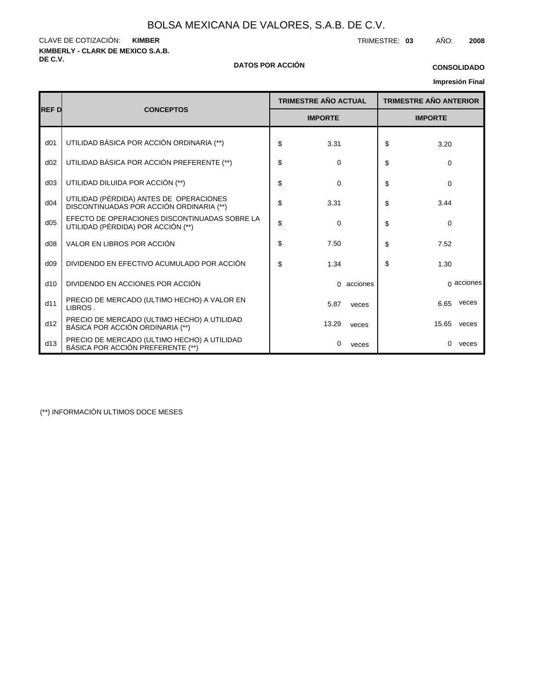**KIMBERLY - CLARK DE MEXICO S.A.B.** CLAVE DE COTIZACIÓN: TRIMESTRE: **03** AÑO: **2008 KIMBER**

#### **DE C.V. DATOS POR ACCIÓN**

# **CONSOLIDADO**

## **Impresión Final**

|                 |                                                                                     |                             |                |            |    |                               | <b>IIIIpresiuli Filiai</b> |
|-----------------|-------------------------------------------------------------------------------------|-----------------------------|----------------|------------|----|-------------------------------|----------------------------|
|                 |                                                                                     | <b>TRIMESTRE AÑO ACTUAL</b> |                |            |    | <b>TRIMESTRE AÑO ANTERIOR</b> |                            |
| IREF DI         | <b>CONCEPTOS</b>                                                                    |                             | <b>IMPORTE</b> |            |    |                               |                            |
| d <sub>01</sub> | UTILIDAD BÁSICA POR ACCIÓN ORDINARIA (**)                                           | \$                          | 3.31           |            | \$ | 3.20                          |                            |
| d02             | UTILIDAD BÁSICA POR ACCIÓN PREFERENTE (**)                                          | \$                          | $\mathbf 0$    |            | \$ | $\Omega$                      |                            |
| d03             | UTILIDAD DILUIDA POR ACCIÓN (**)                                                    | \$                          | 0              |            | \$ | $\Omega$                      |                            |
| d04             | UTILIDAD (PÉRDIDA) ANTES DE OPERACIONES<br>DISCONTINUADAS POR ACCIÓN ORDINARIA (**) | \$                          | 3.31           |            | \$ | 3.44                          |                            |
| d05             | EFECTO DE OPERACIONES DISCONTINUADAS SOBRE LA<br>UTILIDAD (PÉRDIDA) POR ACCIÓN (**) | \$                          | 0              |            | \$ | $\Omega$                      |                            |
| d08             | VALOR EN LIBROS POR ACCIÓN                                                          | \$                          | 7.50           |            | \$ | 7.52                          |                            |
| d09             | DIVIDENDO EN EFECTIVO ACUMULADO POR ACCIÓN                                          | \$                          | 1.34           |            | \$ | 1.30                          |                            |
| d10             | DIVIDENDO EN ACCIONES POR ACCIÓN                                                    |                             |                | 0 acciones |    |                               | $\alpha$ acciones          |
| d11             | PRECIO DE MERCADO (ULTIMO HECHO) A VALOR EN<br>LIBROS.                              |                             | 5.87           | veces      |    | 6.65                          | veces                      |
| d12             | PRECIO DE MERCADO (ULTIMO HECHO) A UTILIDAD<br>BÁSICA POR ACCIÓN ORDINARIA (**)     |                             | 13.29          | veces      |    | 15.65                         | veces                      |
| d13             | PRECIO DE MERCADO (ULTIMO HECHO) A UTILIDAD<br>BÁSICA POR ACCIÓN PREFERENTE (**)    |                             | 0              | veces      |    | $\Omega$                      | veces                      |

(\*\*) INFORMACIÓN ULTIMOS DOCE MESES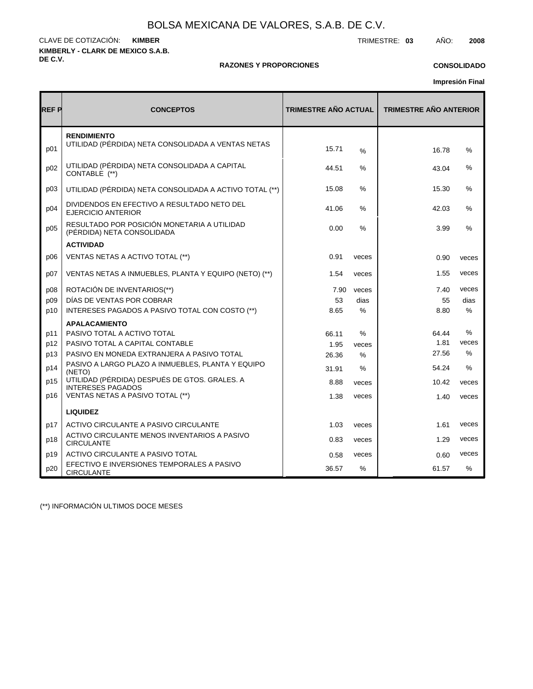**KIMBERLY - CLARK DE MEXICO S.A.B. DE C.V.** CLAVE DE COTIZACIÓN: TRIMESTRE: **03** AÑO: **2008 KIMBER**

#### **RAZONES Y PROPORCIONES**

### **CONSOLIDADO**

**Impresión Final**

| <b>REF P</b> | <b>CONCEPTOS</b>                                                                                | <b>TRIMESTRE AÑO ACTUAL</b> |               | <b>TRIMESTRE AÑO ANTERIOR</b> |               |  |  |
|--------------|-------------------------------------------------------------------------------------------------|-----------------------------|---------------|-------------------------------|---------------|--|--|
| p01          | <b>RENDIMIENTO</b><br>UTILIDAD (PÉRDIDA) NETA CONSOLIDADA A VENTAS NETAS                        | 15.71                       | %             | 16.78                         | %             |  |  |
| p02          | UTILIDAD (PÉRDIDA) NETA CONSOLIDADA A CAPITAL<br>CONTABLE (**)                                  | 44.51                       | %             | 43.04                         | %             |  |  |
| p03          | UTILIDAD (PÉRDIDA) NETA CONSOLIDADA A ACTIVO TOTAL (**)                                         | 15.08                       | $\%$          | 15.30                         | $\%$          |  |  |
| p04          | DIVIDENDOS EN EFECTIVO A RESULTADO NETO DEL<br>EJERCICIO ANTERIOR                               | 41.06                       | $\%$          | 42.03                         | $\frac{0}{0}$ |  |  |
| p05          | RESULTADO POR POSICIÓN MONETARIA A UTILIDAD<br>(PÉRDIDA) NETA CONSOLIDADA                       | 0.00                        | $\%$          | 3.99                          | $\frac{0}{0}$ |  |  |
|              | <b>ACTIVIDAD</b>                                                                                |                             |               |                               |               |  |  |
| p06          | VENTAS NETAS A ACTIVO TOTAL (**)                                                                | 0.91                        | veces         | 0.90                          | veces         |  |  |
| p07          | VENTAS NETAS A INMUEBLES, PLANTA Y EQUIPO (NETO) (**)                                           | 1.54                        | veces         | 1.55                          | veces         |  |  |
| p08          | ROTACIÓN DE INVENTARIOS(**)                                                                     | 7.90                        | veces         | 7.40                          | veces         |  |  |
| p09          | DÍAS DE VENTAS POR COBRAR                                                                       | 53                          | dias          | 55                            | dias          |  |  |
| p10          | INTERESES PAGADOS A PASIVO TOTAL CON COSTO (**)                                                 | 8.65                        | $\frac{0}{0}$ | 8.80                          | $\%$          |  |  |
|              | <b>APALACAMIENTO</b>                                                                            |                             |               |                               |               |  |  |
| p11          | PASIVO TOTAL A ACTIVO TOTAL                                                                     | 66.11                       | %             | 64.44                         | %             |  |  |
| p12          | PASIVO TOTAL A CAPITAL CONTABLE                                                                 | 1.95                        | veces         | 1.81                          | veces         |  |  |
| p13          | PASIVO EN MONEDA EXTRANJERA A PASIVO TOTAL<br>PASIVO A LARGO PLAZO A INMUEBLES, PLANTA Y EQUIPO | 26.36                       | $\%$          | 27.56                         | $\%$          |  |  |
| p14          | (NETO)                                                                                          | 31.91                       | %             | 54.24                         | $\frac{0}{0}$ |  |  |
| p15          | UTILIDAD (PÉRDIDA) DESPUÉS DE GTOS. GRALES. A<br><b>INTERESES PAGADOS</b>                       | 8.88                        | veces         | 10.42                         | veces         |  |  |
| p16          | VENTAS NETAS A PASIVO TOTAL (**)                                                                | 1.38                        | veces         | 1.40                          | veces         |  |  |
|              | <b>LIQUIDEZ</b>                                                                                 |                             |               |                               |               |  |  |
| p17          | ACTIVO CIRCULANTE A PASIVO CIRCULANTE                                                           | 1.03                        | veces         | 1.61                          | veces         |  |  |
| p18          | ACTIVO CIRCULANTE MENOS INVENTARIOS A PASIVO<br><b>CIRCULANTE</b>                               | 0.83                        | veces         | 1.29                          | veces         |  |  |
| p19          | ACTIVO CIRCULANTE A PASIVO TOTAL                                                                | 0.58                        | veces         | 0.60                          | veces         |  |  |
| p20          | EFECTIVO E INVERSIONES TEMPORALES A PASIVO<br><b>CIRCULANTE</b>                                 | 36.57                       | $\%$          | 61.57                         | $\frac{0}{0}$ |  |  |

(\*\*) INFORMACIÓN ULTIMOS DOCE MESES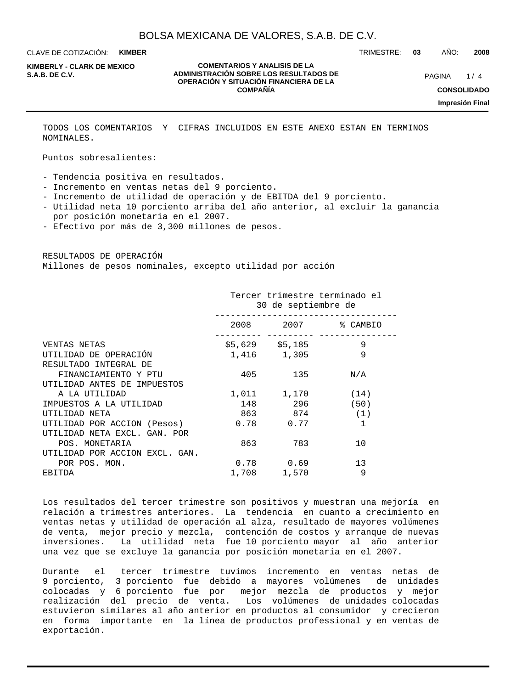CLAVE DE COTIZACIÓN: **KIMBER**

**KIMBERLY - CLARK DE MEXICO**

#### **COMENTARIOS Y ANALISIS DE LA ADMINISTRACIÓN SOBRE LOS RESULTADOS DE PAGINA 1/4 OPERACIÓN Y SITUACIÓN FINANCIERA DE LA COMPAÑÍA**

TRIMESTRE: **03** AÑO: **2008**

 $1/4$ 

**CONSOLIDADO**

**Impresión Final**

TODOS LOS COMENTARIOS Y CIFRAS INCLUIDOS EN ESTE ANEXO ESTAN EN TERMINOS NOMINALES.

Puntos sobresalientes:

- Tendencia positiva en resultados.

- Incremento en ventas netas del 9 porciento.
- Incremento de utilidad de operación y de EBITDA del 9 porciento.
- Utilidad neta 10 porciento arriba del año anterior, al excluir la ganancia por posición monetaria en el 2007.
- Efectivo por más de 3,300 millones de pesos.

RESULTADOS DE OPERACIÓN Millones de pesos nominales, excepto utilidad por acción

|                                | Tercer trimestre terminado el<br>30 de septiembre de |                 |                    |  |  |  |
|--------------------------------|------------------------------------------------------|-----------------|--------------------|--|--|--|
|                                |                                                      |                 | 2008 2007 % CAMBIO |  |  |  |
| VENTAS NETAS                   |                                                      | \$5,629 \$5,185 | 9                  |  |  |  |
| UTILIDAD DE OPERACIÓN          |                                                      | 1,416 1,305     | 9                  |  |  |  |
| RESULTADO INTEGRAL DE          |                                                      |                 |                    |  |  |  |
| FINANCIAMIENTO Y PTU           | 405                                                  | 135             | N/A                |  |  |  |
| UTILIDAD ANTES DE IMPUESTOS    |                                                      |                 |                    |  |  |  |
| A LA UTILIDAD                  |                                                      | 1,011 1,170     | (14)               |  |  |  |
| IMPUESTOS A LA UTILIDAD        | 148                                                  | 296 —           | (50)               |  |  |  |
| UTILIDAD NETA                  |                                                      | 863 874         | (1)                |  |  |  |
| UTILIDAD POR ACCION (Pesos)    |                                                      | $0.78$ 0.77     | $\mathbf{1}$       |  |  |  |
| UTILIDAD NETA EXCL. GAN. POR   |                                                      |                 |                    |  |  |  |
| POS. MONETARIA                 | 863                                                  | 783             | 10                 |  |  |  |
| UTILIDAD POR ACCION EXCL. GAN. |                                                      |                 |                    |  |  |  |
| POR POS. MON.                  |                                                      | $0.78$ 0.69     | 13                 |  |  |  |
| EBITDA                         |                                                      | 1,708 1,570     | 9                  |  |  |  |

Los resultados del tercer trimestre son positivos y muestran una mejoría en relación a trimestres anteriores. La tendencia en cuanto a crecimiento en ventas netas y utilidad de operación al alza, resultado de mayores volúmenes de venta, mejor precio y mezcla, contención de costos y arranque de nuevas inversiones. La utilidad neta fue 10 porciento mayor al año anterior una vez que se excluye la ganancia por posición monetaria en el 2007.

Durante el tercer trimestre tuvimos incremento en ventas netas de 9 porciento, 3 porciento fue debido a mayores volúmenes de unidades colocadas y 6 porciento fue por mejor mezcla de productos y mejor realización del precio de venta. Los volúmenes de unidades colocadas estuvieron similares al año anterior en productos al consumidor y crecieron en forma importante en la línea de productos professional y en ventas de exportación.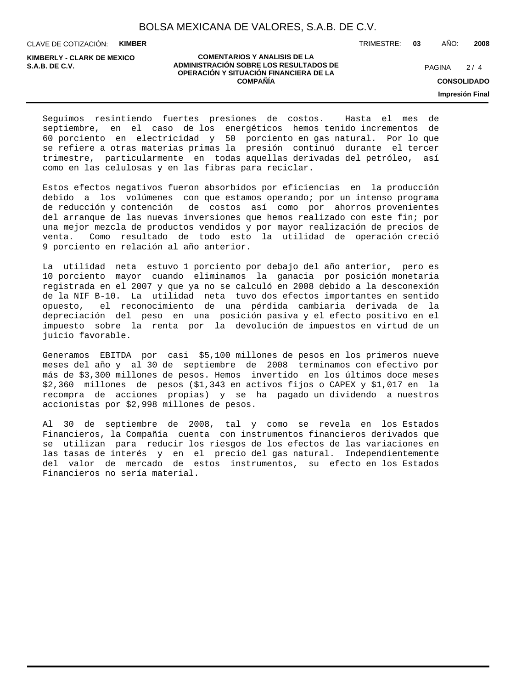CLAVE DE COTIZACIÓN: **KIMBER**

**KIMBERLY - CLARK DE MEXICO**

#### **COMENTARIOS Y ANALISIS DE LA ADMINISTRACIÓN SOBRE LOS RESULTADOS DE PAGINA 2/4 OPERACIÓN Y SITUACIÓN FINANCIERA DE LA COMPAÑÍA**

 $2/4$ 

**CONSOLIDADO**

**Impresión Final**

Seguimos resintiendo fuertes presiones de costos. Hasta el mes de septiembre, en el caso de los energéticos hemos tenido incrementos de 60 porciento en electricidad y 50 porciento en gas natural. Por lo que se refiere a otras materias primas la presión continuó durante el tercer trimestre, particularmente en todas aquellas derivadas del petróleo, así como en las celulosas y en las fibras para reciclar.

Estos efectos negativos fueron absorbidos por eficiencias en la producción debido a los volúmenes con que estamos operando; por un intenso programa de reducción y contención de costos así como por ahorros provenientes del arranque de las nuevas inversiones que hemos realizado con este fin; por una mejor mezcla de productos vendidos y por mayor realización de precios de venta. Como resultado de todo esto la utilidad de operación creció 9 porciento en relación al año anterior.

La utilidad neta estuvo 1 porciento por debajo del año anterior, pero es 10 porciento mayor cuando eliminamos la ganacia por posición monetaria registrada en el 2007 y que ya no se calculó en 2008 debido a la desconexión de la NIF B-10. La utilidad neta tuvo dos efectos importantes en sentido opuesto, el reconocimiento de una pérdida cambiaria derivada de la depreciación del peso en una posición pasiva y el efecto positivo en el impuesto sobre la renta por la devolución de impuestos en virtud de un juicio favorable.

Generamos EBITDA por casi \$5,100 millones de pesos en los primeros nueve meses del año y al 30 de septiembre de 2008 terminamos con efectivo por más de \$3,300 millones de pesos. Hemos invertido en los últimos doce meses \$2,360 millones de pesos (\$1,343 en activos fijos o CAPEX y \$1,017 en la recompra de acciones propias) y se ha pagado un dividendo a nuestros accionistas por \$2,998 millones de pesos.

Al 30 de septiembre de 2008, tal y como se revela en los Estados Financieros, la Compañía cuenta con instrumentos financieros derivados que se utilizan para reducir los riesgos de los efectos de las variaciones en las tasas de interés y en el precio del gas natural. Independientemente del valor de mercado de estos instrumentos, su efecto en los Estados Financieros no sería material.

TRIMESTRE: **03** AÑO: **2008**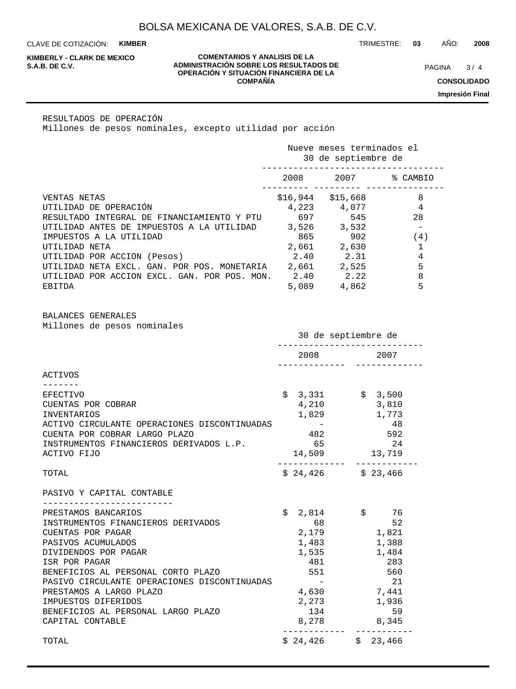CLAVE DE COTIZACIÓN: **KIMBER**

**KIMBERLY - CLARK DE MEXICO**

#### **COMENTARIOS Y ANALISIS DE LA ADMINISTRACIÓN SOBRE LOS RESULTADOS DE PAGINA 19/4 OPERACIÓN Y SITUACIÓN FINANCIERA DE LA COMPAÑÍA**

 $3/4$ 

**CONSOLIDADO**

**Impresión Final**

RESULTADOS DE OPERACIÓN Millones de pesos nominales, excepto utilidad por acción

|                                              | Nueve meses terminados el<br>30 de septiembre de |          |          |  |  |
|----------------------------------------------|--------------------------------------------------|----------|----------|--|--|
|                                              | 2008                                             | 2007     | % CAMBIO |  |  |
| VENTAS NETAS                                 | \$16,944                                         | \$15,668 | 8        |  |  |
| UTILIDAD DE OPERACIÓN                        | 4,223                                            | 4,077    | 4        |  |  |
| RESULTADO INTEGRAL DE FINANCIAMIENTO Y PTU   | 697                                              | 545      | 28       |  |  |
| UTILIDAD ANTES DE IMPUESTOS A LA UTILIDAD    | 3,526                                            | 3,532    |          |  |  |
| IMPUESTOS A LA UTILIDAD                      | 865                                              | 902      | (4)      |  |  |
| UTILIDAD NETA                                | 2,661                                            | 2,630    |          |  |  |
| UTILIDAD POR ACCION (Pesos)                  | 2.40                                             | 2.31     | 4        |  |  |
| UTILIDAD NETA EXCL. GAN. POR POS. MONETARIA  | 2,661                                            | 2,525    | 5        |  |  |
| UTILIDAD POR ACCION EXCL. GAN. POR POS. MON. | 2.40                                             | 2.22     | 8        |  |  |
| EBITDA                                       | 5,089                                            | 4,862    | 5        |  |  |

BALANCES GENERALES Millones de pesos nominales

|                                              | 30 de septiembre de |                                                                                                                                                                                                                                 |  |       |
|----------------------------------------------|---------------------|---------------------------------------------------------------------------------------------------------------------------------------------------------------------------------------------------------------------------------|--|-------|
|                                              |                     | 2008 — 2008 — 2008 — 2008 — 2008 — 2008 — 2008 — 2008 — 2008 — 2010 — 2010 — 2010 — 2020 — 2020 — 2020 — 2020 — 2020 — 2020 — 2020 — 2020 — 2020 — 2020 — 2020 — 2020 — 2020 — 2020 — 2020 — 2020 — 2020 — 2020 — 2020 — 2020 — |  | 2007  |
| ACTIVOS                                      |                     |                                                                                                                                                                                                                                 |  |       |
|                                              |                     |                                                                                                                                                                                                                                 |  |       |
| <b>EFECTIVO</b>                              |                     | $\frac{1}{5}$ 3,331 $\frac{1}{5}$ 3,500                                                                                                                                                                                         |  |       |
| CUENTAS POR COBRAR                           |                     | 4,210                                                                                                                                                                                                                           |  | 3,810 |
| <b>INVENTARIOS</b>                           |                     | 1,829 1,773                                                                                                                                                                                                                     |  |       |
| ACTIVO CIRCULANTE OPERACIONES DISCONTINUADAS |                     | $\mathcal{L}_{\text{max}}$ and $\mathcal{L}_{\text{max}}$                                                                                                                                                                       |  | 48    |
| CUENTA POR COBRAR LARGO PLAZO                |                     | 482                                                                                                                                                                                                                             |  | 592   |
| INSTRUMENTOS FINANCIEROS DERIVADOS L.P.      |                     | 65                                                                                                                                                                                                                              |  | 24    |
| ACTIVO FIJO                                  |                     | 14,509 13,719                                                                                                                                                                                                                   |  |       |
| TOTAL                                        |                     | $$24,426$ $$23,466$                                                                                                                                                                                                             |  |       |
| PASIVO Y CAPITAL CONTABLE                    |                     |                                                                                                                                                                                                                                 |  |       |
| PRESTAMOS BANCARIOS                          |                     | $$2,814$ $$76$                                                                                                                                                                                                                  |  |       |
| INSTRUMENTOS FINANCIEROS DERIVADOS           |                     | 68                                                                                                                                                                                                                              |  | 52    |
| CUENTAS POR PAGAR                            |                     | 2,179 1,821                                                                                                                                                                                                                     |  |       |
| PASIVOS ACUMULADOS                           |                     | 1,483                                                                                                                                                                                                                           |  | 1,388 |
| DIVIDENDOS POR PAGAR                         |                     | 1,535                                                                                                                                                                                                                           |  | 1,484 |
| ISR POR PAGAR                                |                     | 481                                                                                                                                                                                                                             |  | 283   |
| BENEFICIOS AL PERSONAL CORTO PLAZO           |                     | 551                                                                                                                                                                                                                             |  | 560   |
| PASIVO CIRCULANTE OPERACIONES DISCONTINUADAS |                     |                                                                                                                                                                                                                                 |  | 21    |
| PRESTAMOS A LARGO PLAZO                      |                     | 4,630                                                                                                                                                                                                                           |  | 7,441 |
| IMPUESTOS DIFERIDOS                          |                     | 2,273 1,936                                                                                                                                                                                                                     |  |       |
| BENEFICIOS AL PERSONAL LARGO PLAZO           |                     | 134                                                                                                                                                                                                                             |  | 59    |
| CAPITAL CONTABLE                             |                     | 8,278 8,345                                                                                                                                                                                                                     |  |       |
| TOTAL                                        |                     | $$24,426$ $$23,466$                                                                                                                                                                                                             |  |       |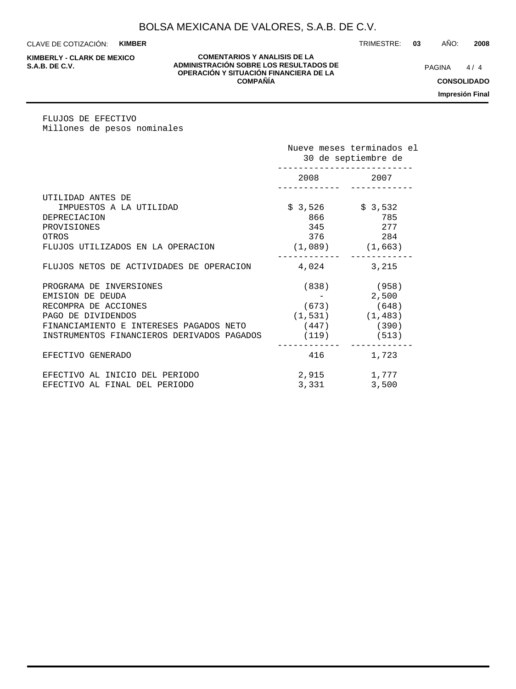CLAVE DE COTIZACIÓN: **KIMBER**

**KIMBERLY - CLARK DE MEXICO**

#### **COMENTARIOS Y ANALISIS DE LA ADMINISTRACIÓN SOBRE LOS RESULTADOS DE PAGINA 1/4 OPERACIÓN Y SITUACIÓN FINANCIERA DE LA COMPAÑÍA**

 $4/4$ 

**CONSOLIDADO**

**Impresión Final**

FLUJOS DE EFECTIVO Millones de pesos nominales

|                                            | Nueve meses terminados el<br>30 de septiembre de |                       |  |
|--------------------------------------------|--------------------------------------------------|-----------------------|--|
|                                            | 2008 2007                                        |                       |  |
| UTILIDAD ANTES DE                          |                                                  |                       |  |
| IMPUESTOS A LA UTILIDAD                    | $$3,526$ $$3,532$                                |                       |  |
| DEPRECIACION                               | 866 -                                            | 785                   |  |
| PROVISIONES                                |                                                  | 345 277               |  |
| OTROS                                      | 376                                              | 284                   |  |
| FLUJOS UTILIZADOS EN LA OPERACION          | $(1,089)$ $(1,663)$                              |                       |  |
| FLUJOS NETOS DE ACTIVIDADES DE OPERACION   | 4,024                                            | 3,215                 |  |
| PROGRAMA DE INVERSIONES                    |                                                  | $(838)$ (958)         |  |
| EMISION DE DEUDA                           |                                                  | 2,500                 |  |
| RECOMPRA DE ACCIONES                       |                                                  | $(673)$ (648)         |  |
| PAGO DE DIVIDENDOS                         |                                                  | $(1, 531)$ $(1, 483)$ |  |
| FINANCIAMIENTO E INTERESES PAGADOS NETO    |                                                  | $(447)$ (390)         |  |
| INSTRUMENTOS FINANCIEROS DERIVADOS PAGADOS |                                                  | $(119)$ (513)         |  |
| EFECTIVO GENERADO                          | 416                                              | 1,723                 |  |
| EFECTIVO AL INICIO DEL PERIODO             | 2,915                                            | 1,777                 |  |
| EFECTIVO AL FINAL DEL PERIODO              | 3,331                                            | 3,500                 |  |

#### TRIMESTRE: **03** AÑO: **2008**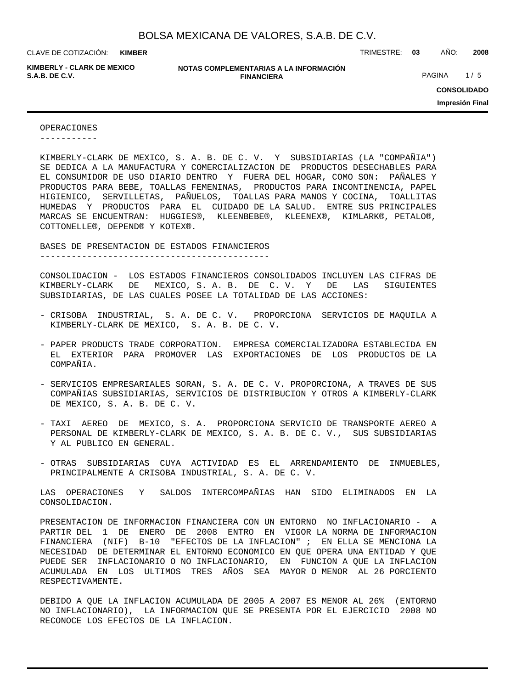**KIMBER**

**KIMBERLY - CLARK DE MEXICO**

**NOTAS COMPLEMENTARIAS A LA INFORMACIÓN FINANCIERA S.A.B. DE C.V.** PAGINA 1 / 5

CLAVE DE COTIZACIÓN: TRIMESTRE: **03** AÑO: **2008**

**CONSOLIDADO**

**Impresión Final**

OPERACIONES -----------

KIMBERLY-CLARK DE MEXICO, S. A. B. DE C. V. Y SUBSIDIARIAS (LA "COMPAÑIA") SE DEDICA A LA MANUFACTURA Y COMERCIALIZACION DE PRODUCTOS DESECHABLES PARA EL CONSUMIDOR DE USO DIARIO DENTRO Y FUERA DEL HOGAR, COMO SON: PAÑALES Y PRODUCTOS PARA BEBE, TOALLAS FEMENINAS, PRODUCTOS PARA INCONTINENCIA, PAPEL HIGIENICO, SERVILLETAS, PAÑUELOS, TOALLAS PARA MANOS Y COCINA, TOALLITAS HUMEDAS Y PRODUCTOS PARA EL CUIDADO DE LA SALUD. ENTRE SUS PRINCIPALES MARCAS SE ENCUENTRAN: HUGGIES®, KLEENBEBE®, KLEENEX®, KIMLARK®, PETALO®, COTTONELLE®, DEPEND® Y KOTEX®.

#### BASES DE PRESENTACION DE ESTADOS FINANCIEROS

--------------------------------------------

CONSOLIDACION - LOS ESTADOS FINANCIEROS CONSOLIDADOS INCLUYEN LAS CIFRAS DE KIMBERLY-CLARK DE MEXICO, S. A. B. DE C. V. Y DE LAS SIGUIENTES SUBSIDIARIAS, DE LAS CUALES POSEE LA TOTALIDAD DE LAS ACCIONES:

- CRISOBA INDUSTRIAL, S. A. DE C. V. PROPORCIONA SERVICIOS DE MAQUILA A KIMBERLY-CLARK DE MEXICO, S. A. B. DE C. V.
- PAPER PRODUCTS TRADE CORPORATION. EMPRESA COMERCIALIZADORA ESTABLECIDA EN EL EXTERIOR PARA PROMOVER LAS EXPORTACIONES DE LOS PRODUCTOS DE LA COMPAÑIA.
- SERVICIOS EMPRESARIALES SORAN, S. A. DE C. V. PROPORCIONA, A TRAVES DE SUS COMPAÑIAS SUBSIDIARIAS, SERVICIOS DE DISTRIBUCION Y OTROS A KIMBERLY-CLARK DE MEXICO, S. A. B. DE C. V.
- TAXI AEREO DE MEXICO, S. A. PROPORCIONA SERVICIO DE TRANSPORTE AEREO A PERSONAL DE KIMBERLY-CLARK DE MEXICO, S. A. B. DE C. V., SUS SUBSIDIARIAS Y AL PUBLICO EN GENERAL.
- OTRAS SUBSIDIARIAS CUYA ACTIVIDAD ES EL ARRENDAMIENTO DE INMUEBLES, PRINCIPALMENTE A CRISOBA INDUSTRIAL, S. A. DE C. V.

LAS OPERACIONES Y SALDOS INTERCOMPAÑIAS HAN SIDO ELIMINADOS EN LA CONSOLIDACION.

PRESENTACION DE INFORMACION FINANCIERA CON UN ENTORNO NO INFLACIONARIO - A PARTIR DEL 1 DE ENERO DE 2008 ENTRO EN VIGOR LA NORMA DE INFORMACION FINANCIERA (NIF) B-10 "EFECTOS DE LA INFLACION" ; EN ELLA SE MENCIONA LA NECESIDAD DE DETERMINAR EL ENTORNO ECONOMICO EN QUE OPERA UNA ENTIDAD Y QUE PUEDE SER INFLACIONARIO O NO INFLACIONARIO, EN FUNCION A QUE LA INFLACION ACUMULADA EN LOS ULTIMOS TRES AÑOS SEA MAYOR O MENOR AL 26 PORCIENTO RESPECTIVAMENTE.

DEBIDO A QUE LA INFLACION ACUMULADA DE 2005 A 2007 ES MENOR AL 26% (ENTORNO NO INFLACIONARIO), LA INFORMACION QUE SE PRESENTA POR EL EJERCICIO 2008 NO RECONOCE LOS EFECTOS DE LA INFLACION.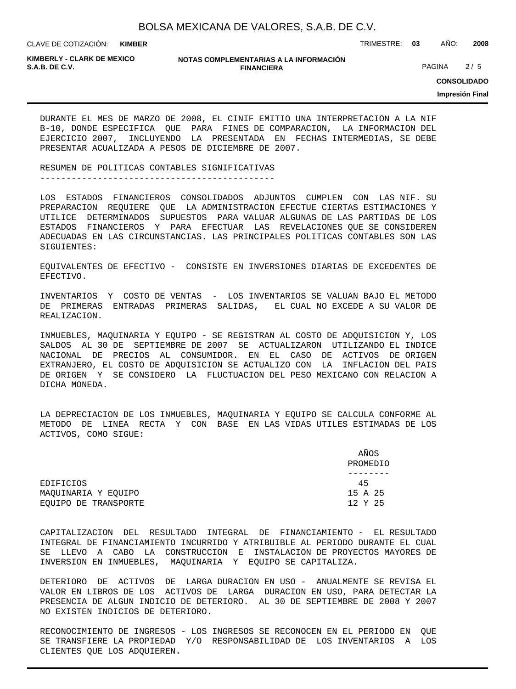**KIMBER**

CLAVE DE COTIZACIÓN: TRIMESTRE: **03** AÑO: **2008**

**KIMBERLY - CLARK DE MEXICO**

#### **NOTAS COMPLEMENTARIAS A LA INFORMACIÓN FINANCIERA S.A.B. DE C.V.** PAGINA 2 / 5

**CONSOLIDADO**

**Impresión Final**

DURANTE EL MES DE MARZO DE 2008, EL CINIF EMITIO UNA INTERPRETACION A LA NIF B-10, DONDE ESPECIFICA QUE PARA FINES DE COMPARACION, LA INFORMACION DEL EJERCICIO 2007, INCLUYENDO LA PRESENTADA EN FECHAS INTERMEDIAS, SE DEBE PRESENTAR ACUALIZADA A PESOS DE DICIEMBRE DE 2007.

RESUMEN DE POLITICAS CONTABLES SIGNIFICATIVAS ---------------------------------------------

LOS ESTADOS FINANCIEROS CONSOLIDADOS ADJUNTOS CUMPLEN CON LAS NIF. SU PREPARACION REQUIERE QUE LA ADMINISTRACION EFECTUE CIERTAS ESTIMACIONES Y UTILICE DETERMINADOS SUPUESTOS PARA VALUAR ALGUNAS DE LAS PARTIDAS DE LOS ESTADOS FINANCIEROS Y PARA EFECTUAR LAS REVELACIONES QUE SE CONSIDEREN ADECUADAS EN LAS CIRCUNSTANCIAS. LAS PRINCIPALES POLITICAS CONTABLES SON LAS SIGUIENTES:

EQUIVALENTES DE EFECTIVO - CONSISTE EN INVERSIONES DIARIAS DE EXCEDENTES DE EFECTIVO.

INVENTARIOS Y COSTO DE VENTAS - LOS INVENTARIOS SE VALUAN BAJO EL METODO DE PRIMERAS ENTRADAS PRIMERAS SALIDAS, EL CUAL NO EXCEDE A SU VALOR DE REALIZACION.

INMUEBLES, MAQUINARIA Y EQUIPO - SE REGISTRAN AL COSTO DE ADQUISICION Y, LOS SALDOS AL 30 DE SEPTIEMBRE DE 2007 SE ACTUALIZARON UTILIZANDO EL INDICE NACIONAL DE PRECIOS AL CONSUMIDOR. EN EL CASO DE ACTIVOS DE ORIGEN EXTRANJERO, EL COSTO DE ADQUISICION SE ACTUALIZO CON LA INFLACION DEL PAIS DE ORIGEN Y SE CONSIDERO LA FLUCTUACION DEL PESO MEXICANO CON RELACION A DICHA MONEDA.

LA DEPRECIACION DE LOS INMUEBLES, MAQUINARIA Y EQUIPO SE CALCULA CONFORME AL METODO DE LINEA RECTA Y CON BASE EN LAS VIDAS UTILES ESTIMADAS DE LOS ACTIVOS, COMO SIGUE:

|                      | AÑOS<br>PROMEDIO |
|----------------------|------------------|
|                      |                  |
| EDIFICIOS            | 45               |
| MAOUINARIA Y EOUIPO  | 15 A 25          |
| EOUIPO DE TRANSPORTE | 12 Y 25          |

CAPITALIZACION DEL RESULTADO INTEGRAL DE FINANCIAMIENTO - EL RESULTADO INTEGRAL DE FINANCIAMIENTO INCURRIDO Y ATRIBUIBLE AL PERIODO DURANTE EL CUAL SE LLEVO A CABO LA CONSTRUCCION E INSTALACION DE PROYECTOS MAYORES DE INVERSION EN INMUEBLES, MAQUINARIA Y EQUIPO SE CAPITALIZA.

DETERIORO DE ACTIVOS DE LARGA DURACION EN USO - ANUALMENTE SE REVISA EL VALOR EN LIBROS DE LOS ACTIVOS DE LARGA DURACION EN USO, PARA DETECTAR LA PRESENCIA DE ALGUN INDICIO DE DETERIORO. AL 30 DE SEPTIEMBRE DE 2008 Y 2007 NO EXISTEN INDICIOS DE DETERIORO.

RECONOCIMIENTO DE INGRESOS - LOS INGRESOS SE RECONOCEN EN EL PERIODO EN QUE SE TRANSFIERE LA PROPIEDAD Y/O RESPONSABILIDAD DE LOS INVENTARIOS A LOS CLIENTES QUE LOS ADQUIEREN.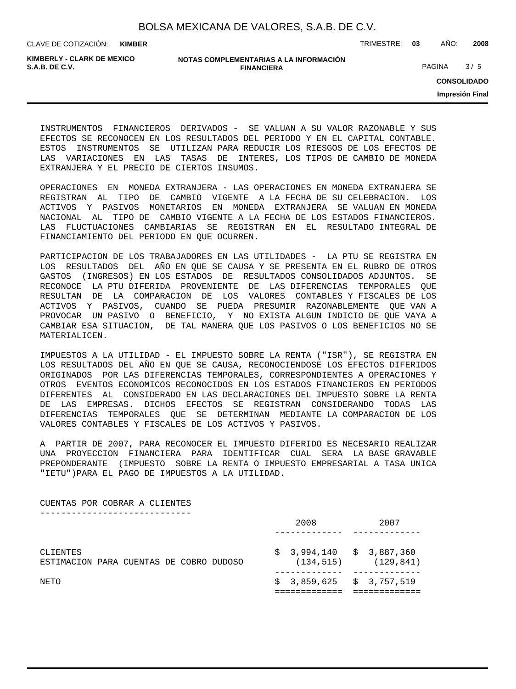**KIMBER**

CLAVE DE COTIZACIÓN: TRIMESTRE: **03** AÑO: **2008**

**KIMBERLY - CLARK DE MEXICO**

**NOTAS COMPLEMENTARIAS A LA INFORMACIÓN FINANCIERA S.A.B. DE C.V.** PAGINA 3 / 5

**CONSOLIDADO**

**Impresión Final**

INSTRUMENTOS FINANCIEROS DERIVADOS - SE VALUAN A SU VALOR RAZONABLE Y SUS EFECTOS SE RECONOCEN EN LOS RESULTADOS DEL PERIODO Y EN EL CAPITAL CONTABLE. ESTOS INSTRUMENTOS SE UTILIZAN PARA REDUCIR LOS RIESGOS DE LOS EFECTOS DE LAS VARIACIONES EN LAS TASAS DE INTERES, LOS TIPOS DE CAMBIO DE MONEDA EXTRANJERA Y EL PRECIO DE CIERTOS INSUMOS.

OPERACIONES EN MONEDA EXTRANJERA - LAS OPERACIONES EN MONEDA EXTRANJERA SE REGISTRAN AL TIPO DE CAMBIO VIGENTE A LA FECHA DE SU CELEBRACION. LOS ACTIVOS Y PASIVOS MONETARIOS EN MONEDA EXTRANJERA SE VALUAN EN MONEDA NACIONAL AL TIPO DE CAMBIO VIGENTE A LA FECHA DE LOS ESTADOS FINANCIEROS. LAS FLUCTUACIONES CAMBIARIAS SE REGISTRAN EN EL RESULTADO INTEGRAL DE FINANCIAMIENTO DEL PERIODO EN QUE OCURREN.

PARTICIPACION DE LOS TRABAJADORES EN LAS UTILIDADES - LA PTU SE REGISTRA EN LOS RESULTADOS DEL AÑO EN QUE SE CAUSA Y SE PRESENTA EN EL RUBRO DE OTROS GASTOS (INGRESOS) EN LOS ESTADOS DE RESULTADOS CONSOLIDADOS ADJUNTOS. SE RECONOCE LA PTU DIFERIDA PROVENIENTE DE LAS DIFERENCIAS TEMPORALES QUE RESULTAN DE LA COMPARACION DE LOS VALORES CONTABLES Y FISCALES DE LOS ACTIVOS Y PASIVOS, CUANDO SE PUEDA PRESUMIR RAZONABLEMENTE QUE VAN A PROVOCAR UN PASIVO O BENEFICIO, Y NO EXISTA ALGUN INDICIO DE QUE VAYA A CAMBIAR ESA SITUACION, DE TAL MANERA QUE LOS PASIVOS O LOS BENEFICIOS NO SE MATERIALICEN.

IMPUESTOS A LA UTILIDAD - EL IMPUESTO SOBRE LA RENTA ("ISR"), SE REGISTRA EN LOS RESULTADOS DEL AÑO EN QUE SE CAUSA, RECONOCIENDOSE LOS EFECTOS DIFERIDOS ORIGINADOS POR LAS DIFERENCIAS TEMPORALES, CORRESPONDIENTES A OPERACIONES Y OTROS EVENTOS ECONOMICOS RECONOCIDOS EN LOS ESTADOS FINANCIEROS EN PERIODOS DIFERENTES AL CONSIDERADO EN LAS DECLARACIONES DEL IMPUESTO SOBRE LA RENTA DE LAS EMPRESAS. DICHOS EFECTOS SE REGISTRAN CONSIDERANDO TODAS LAS DIFERENCIAS TEMPORALES QUE SE DETERMINAN MEDIANTE LA COMPARACION DE LOS VALORES CONTABLES Y FISCALES DE LOS ACTIVOS Y PASIVOS.

A PARTIR DE 2007, PARA RECONOCER EL IMPUESTO DIFERIDO ES NECESARIO REALIZAR UNA PROYECCION FINANCIERA PARA IDENTIFICAR CUAL SERA LA BASE GRAVABLE PREPONDERANTE (IMPUESTO SOBRE LA RENTA O IMPUESTO EMPRESARIAL A TASA UNICA "IETU")PARA EL PAGO DE IMPUESTOS A LA UTILIDAD.

CUENTAS POR COBRAR A CLIENTES -----------------------------

|                                                     | 2008 |                                                         | 2007 |  |
|-----------------------------------------------------|------|---------------------------------------------------------|------|--|
| CLIENTES<br>ESTIMACION PARA CUENTAS DE COBRO DUDOSO |      | $$3,994,140 \t $3,887,360$<br>$(134, 515)$ $(129, 841)$ |      |  |
| NETO                                                |      | $$3,859,625 \t$3,757,519$                               |      |  |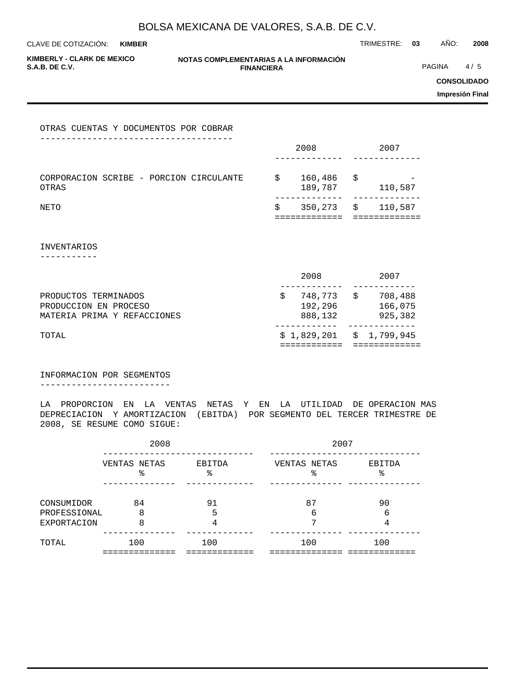CLAVE DE COTIZACIÓN: TRIMESTRE: **03** AÑO: **2008 KIMBER**

**KIMBERLY - CLARK DE MEXICO**

**NOTAS COMPLEMENTARIAS A LA INFORMACIÓN FINANCIERA**

**PAGINA** 4/5

**CONSOLIDADO**

**Impresión Final**

OTRAS CUENTAS Y DOCUMENTOS POR COBRAR

|                                         |  |  |  |    | 2008    |      | 2007    |  |
|-----------------------------------------|--|--|--|----|---------|------|---------|--|
|                                         |  |  |  |    |         |      |         |  |
|                                         |  |  |  |    |         |      |         |  |
| CORPORACION SCRIBE - PORCION CIRCULANTE |  |  |  | Ŝ. | 160,486 | - \$ |         |  |
| OTRAS                                   |  |  |  |    | 189,787 |      | 110,587 |  |
|                                         |  |  |  |    |         |      |         |  |
| NETO                                    |  |  |  | Ŝ  | 350,273 | \$   | 110,587 |  |
|                                         |  |  |  |    |         |      |         |  |

INVENTARIOS

-----------

| TOTAL                       |         | $$1,829,201$ $$1,799,945$ |
|-----------------------------|---------|---------------------------|
|                             |         |                           |
| MATERIA PRIMA Y REFACCIONES | 888,132 | 925,382                   |
| PRODUCCION EN PROCESO       | 192,296 | 166,075                   |
| PRODUCTOS TERMINADOS        | 748,773 | 708,488                   |
|                             |         |                           |
|                             | 2008    | 2007                      |

INFORMACION POR SEGMENTOS -------------------------

LA PROPORCION EN LA VENTAS NETAS Y EN LA UTILIDAD DE OPERACION MAS DEPRECIACION Y AMORTIZACION (EBITDA) POR SEGMENTO DEL TERCER TRIMESTRE DE 2008, SE RESUME COMO SIGUE:

|                                                  | 2008              |              | 2007               |             |  |  |  |
|--------------------------------------------------|-------------------|--------------|--------------------|-------------|--|--|--|
|                                                  | VENTAS NETAS<br>° | EBITDA<br>°≈ | VENTAS NETAS<br>ిన | EBITDA<br>° |  |  |  |
| CONSUMIDOR<br>PROFESSIONAL<br><b>EXPORTACION</b> | 84<br>8<br>8      | 91<br>5      | 87<br>6            | 90<br>6     |  |  |  |
| TOTAL                                            | 100               | 100          | 100                | 100         |  |  |  |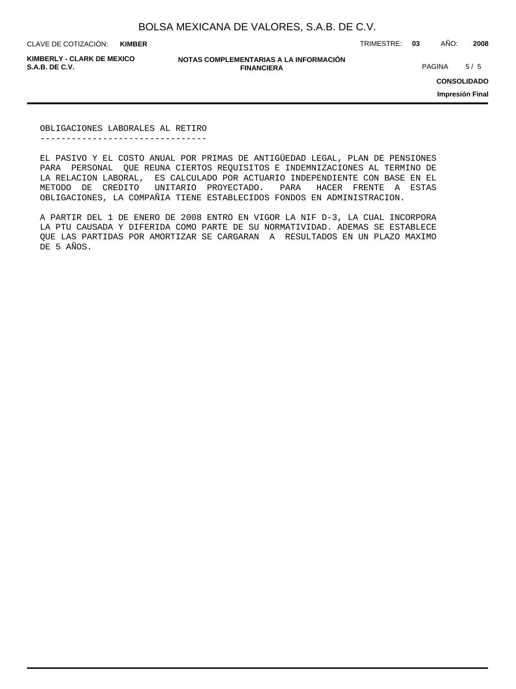**KIMBER**

CLAVE DE COTIZACIÓN: TRIMESTRE: **03** AÑO: **2008**

**KIMBERLY - CLARK DE MEXICO**

**NOTAS COMPLEMENTARIAS A LA INFORMACIÓN FINANCIERA S.A.B. DE C.V.** PAGINA 5 / 5

**CONSOLIDADO**

**Impresión Final**

OBLIGACIONES LABORALES AL RETIRO --------------------------------

EL PASIVO Y EL COSTO ANUAL POR PRIMAS DE ANTIGÜEDAD LEGAL, PLAN DE PENSIONES PARA PERSONAL QUE REUNA CIERTOS REQUISITOS E INDEMNIZACIONES AL TERMINO DE LA RELACION LABORAL, ES CALCULADO POR ACTUARIO INDEPENDIENTE CON BASE EN EL METODO DE CREDITO UNITARIO PROYECTADO. PARA HACER FRENTE A ESTAS OBLIGACIONES, LA COMPAÑIA TIENE ESTABLECIDOS FONDOS EN ADMINISTRACION.

A PARTIR DEL 1 DE ENERO DE 2008 ENTRO EN VIGOR LA NIF D-3, LA CUAL INCORPORA LA PTU CAUSADA Y DIFERIDA COMO PARTE DE SU NORMATIVIDAD. ADEMAS SE ESTABLECE QUE LAS PARTIDAS POR AMORTIZAR SE CARGARAN A RESULTADOS EN UN PLAZO MAXIMO DE 5 AÑOS.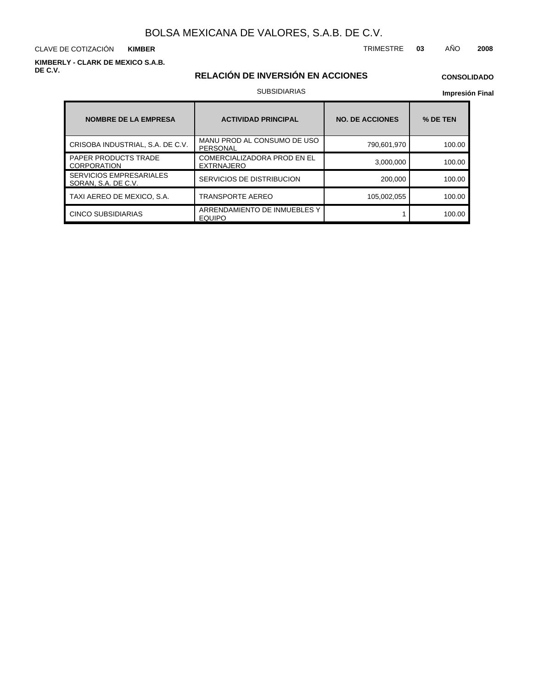CLAVE DE COTIZACIÓN TRIMESTRE **03** AÑO **2008 KIMBER**

**KIMBERLY - CLARK DE MEXICO S.A.B. DE C.V.**

### **RELACIÓN DE INVERSIÓN EN ACCIONES**

### **CONSOLIDADO**

### SUBSIDIARIAS

| <b>NOMBRE DE LA EMPRESA</b>                           | <b>ACTIVIDAD PRINCIPAL</b>                              | <b>NO. DE ACCIONES</b> | % DE TEN |
|-------------------------------------------------------|---------------------------------------------------------|------------------------|----------|
| CRISOBA INDUSTRIAL, S.A. DE C.V.                      | MANU PROD AL CONSUMO DE USO<br>PERSONAL                 | 790,601,970            | 100.00   |
| <b>PAPER PRODUCTS TRADE</b><br><b>CORPORATION</b>     | <b>COMERCIALIZADORA PROD EN EL</b><br><b>EXTRNAJERO</b> | 3,000,000              | 100.00   |
| <b>SERVICIOS EMPRESARIALES</b><br>SORAN, S.A. DE C.V. | SERVICIOS DE DISTRIBUCION                               | 200,000                | 100.00   |
| TAXI AEREO DE MEXICO, S.A.                            | TRANSPORTE AEREO                                        | 105,002,055            | 100.00   |
| <b>CINCO SUBSIDIARIAS</b>                             | ARRENDAMIENTO DE INMUEBLES Y<br><b>EQUIPO</b>           |                        | 100.00   |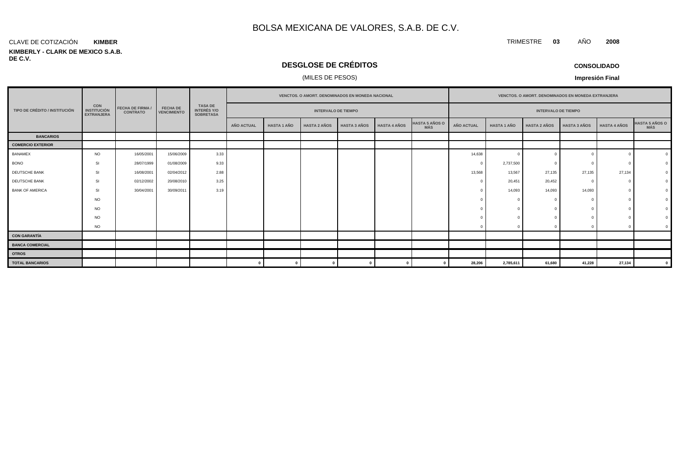#### CLAVE DE COTIZACIÓN **KIMBER**

#### **KIMBERLY - CLARK DE MEXICO S.A.B. DE C.V.**

# **DESGLOSE DE CRÉDITOS**

### (MILES DE PESOS)

**CONSOLIDADO**

**Impresión Final**

|                               |                                                       |                                            |                                       |                                                          |                   |                    | <b>VENCTOS, O AMORT, DENOMINADOS EN MONEDA NACIONAL</b> |                     |                     |                              | <b>VENCTOS, O AMORT, DENOMINADOS EN MONEDA EXTRANJERA</b> |                    |                            |                     |                     |                               |
|-------------------------------|-------------------------------------------------------|--------------------------------------------|---------------------------------------|----------------------------------------------------------|-------------------|--------------------|---------------------------------------------------------|---------------------|---------------------|------------------------------|-----------------------------------------------------------|--------------------|----------------------------|---------------------|---------------------|-------------------------------|
| TIPO DE CRÉDITO / INSTITUCIÓN | <b>CON</b><br><b>INSTITUCIÓN</b><br><b>EXTRANJERA</b> | <b>FECHA DE FIRMA /</b><br><b>CONTRATO</b> | <b>FECHA DE</b><br><b>VENCIMIENTO</b> | <b>TASA DE</b><br><b>INTERÉS Y/O</b><br><b>SOBRETASA</b> |                   |                    | <b>INTERVALO DE TIEMPO</b>                              |                     |                     |                              |                                                           |                    | <b>INTERVALO DE TIEMPO</b> |                     |                     |                               |
|                               |                                                       |                                            |                                       |                                                          | <b>AÑO ACTUAL</b> | <b>HASTA 1 AÑO</b> | <b>HASTA 2 AÑOS</b>                                     | <b>HASTA 3 AÑOS</b> | <b>HASTA 4 AÑOS</b> | <b>HASTA 5 AÑOS O</b><br>MÁS | AÑO ACTUAL                                                | <b>HASTA 1 AÑO</b> | <b>HASTA 2 AÑOS</b>        | <b>HASTA 3 AÑOS</b> | <b>HASTA 4 AÑOS</b> | <b>HASTA 5 AÑOS O<br/>MÁS</b> |
| <b>BANCARIOS</b>              |                                                       |                                            |                                       |                                                          |                   |                    |                                                         |                     |                     |                              |                                                           |                    |                            |                     |                     |                               |
| <b>COMERCIO EXTERIOR</b>      |                                                       |                                            |                                       |                                                          |                   |                    |                                                         |                     |                     |                              |                                                           |                    |                            |                     |                     |                               |
| <b>BANAMEX</b>                | <b>NO</b>                                             | 16/05/2001                                 | 15/06/2009                            | 3.33                                                     |                   |                    |                                                         |                     |                     |                              | 14,638                                                    |                    |                            |                     |                     |                               |
| <b>BONO</b>                   | SI                                                    | 28/07/1999                                 | 01/08/2009                            | 9.33                                                     |                   |                    |                                                         |                     |                     |                              | $\Omega$                                                  | 2,737,500          |                            |                     |                     |                               |
| DEUTSCHE BANK                 | SI                                                    | 16/08/2001                                 | 02/04/2012                            | 2.88                                                     |                   |                    |                                                         |                     |                     |                              | 13,568                                                    | 13,567             | 27,135                     | 27,135              | 27,134              |                               |
| DEUTSCHE BANK                 | SI                                                    | 02/12/2002                                 | 20/08/2010                            | 3.25                                                     |                   |                    |                                                         |                     |                     |                              | $\Omega$                                                  | 20,451             | 20,452                     | $\sqrt{ }$          |                     |                               |
| <b>BANK OF AMERICA</b>        | SI                                                    | 30/04/2001                                 | 30/09/2011                            | 3.19                                                     |                   |                    |                                                         |                     |                     |                              |                                                           | 14,093             | 14,093                     | 14,093              |                     |                               |
|                               | <b>NO</b>                                             |                                            |                                       |                                                          |                   |                    |                                                         |                     |                     |                              |                                                           |                    |                            |                     |                     |                               |
|                               | <b>NO</b>                                             |                                            |                                       |                                                          |                   |                    |                                                         |                     |                     |                              |                                                           |                    |                            |                     |                     |                               |
|                               | <b>NO</b>                                             |                                            |                                       |                                                          |                   |                    |                                                         |                     |                     |                              |                                                           |                    |                            |                     |                     |                               |
|                               | <b>NO</b>                                             |                                            |                                       |                                                          |                   |                    |                                                         |                     |                     |                              |                                                           |                    |                            |                     |                     |                               |
| <b>CON GARANTÍA</b>           |                                                       |                                            |                                       |                                                          |                   |                    |                                                         |                     |                     |                              |                                                           |                    |                            |                     |                     |                               |
| <b>BANCA COMERCIAL</b>        |                                                       |                                            |                                       |                                                          |                   |                    |                                                         |                     |                     |                              |                                                           |                    |                            |                     |                     |                               |
| <b>OTROS</b>                  |                                                       |                                            |                                       |                                                          |                   |                    |                                                         |                     |                     |                              |                                                           |                    |                            |                     |                     |                               |
| <b>TOTAL BANCARIOS</b>        |                                                       |                                            |                                       |                                                          |                   |                    |                                                         |                     |                     |                              | 28,206                                                    | 2,785,611          | 61,680                     | 41,228              | 27,134              |                               |

### TRIMESTRE **03** AÑO **2008**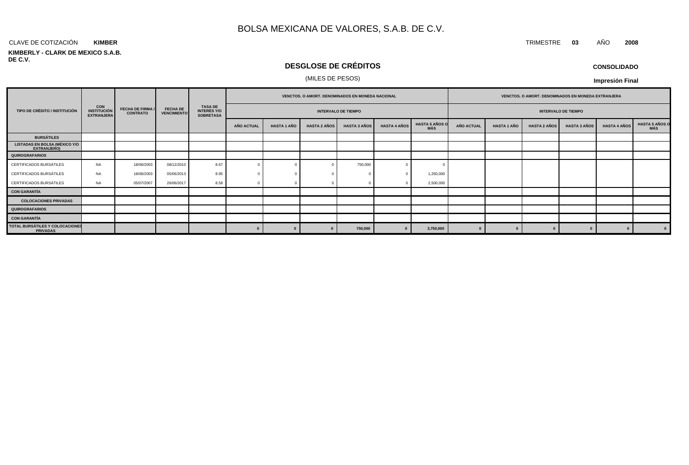#### CLAVE DE COTIZACIÓN TRIMESTRE **03** AÑO **2008 KIMBER**

#### **KIMBERLY - CLARK DE MEXICO S.A.B. DE C.V.**

### **DESGLOSE DE CRÉDITOS**

### (MILES DE PESOS)

| <b>CONSOLIDADO</b> |
|--------------------|
|--------------------|

|                                                     |                                                       |                                     |                                       |                                            |                            |                    |                     | VENCTOS. O AMORT. DENOMINADOS EN MONEDA NACIONAL |                     |                              | VENCTOS. O AMORT. DENOMINADOS EN MONEDA EXTRANJERA |                    |                     |                     |                     |                       |
|-----------------------------------------------------|-------------------------------------------------------|-------------------------------------|---------------------------------------|--------------------------------------------|----------------------------|--------------------|---------------------|--------------------------------------------------|---------------------|------------------------------|----------------------------------------------------|--------------------|---------------------|---------------------|---------------------|-----------------------|
| TIPO DE CRÉDITO / INSTITUCIÓN                       | <b>CON</b><br><b>INSTITUCIÓN</b><br><b>EXTRANJERA</b> | FECHA DE FIRMA /<br><b>CONTRATO</b> | <b>FECHA DE</b><br><b>VENCIMIENTO</b> | TASA DE<br>INTERÉS Y/O<br><b>SOBRETASA</b> | <b>INTERVALO DE TIEMPO</b> |                    |                     |                                                  |                     | <b>INTERVALO DE TIEMPO</b>   |                                                    |                    |                     |                     |                     |                       |
|                                                     |                                                       |                                     |                                       |                                            | <b>AÑO ACTUAL</b>          | <b>HASTA 1 AÑO</b> | <b>HASTA 2 AÑOS</b> | <b>HASTA 3 AÑOS</b>                              | <b>HASTA 4 AÑOS</b> | <b>HASTA 5 AÑOS O</b><br>MÁS | AÑO ACTUAL                                         | <b>HASTA 1 AÑO</b> | <b>HASTA 2 AÑOS</b> | <b>HASTA 3 AÑOS</b> | <b>HASTA 4 AÑOS</b> | HASTA 5 AÑOS O<br>MÁS |
| <b>BURSÁTILES</b>                                   |                                                       |                                     |                                       |                                            |                            |                    |                     |                                                  |                     |                              |                                                    |                    |                     |                     |                     |                       |
| LISTADAS EN BOLSA (MÉXICO Y/O<br><b>EXTRANJERO)</b> |                                                       |                                     |                                       |                                            |                            |                    |                     |                                                  |                     |                              |                                                    |                    |                     |                     |                     |                       |
| <b>QUIROGRAFARIOS</b>                               |                                                       |                                     |                                       |                                            |                            |                    |                     |                                                  |                     |                              |                                                    |                    |                     |                     |                     |                       |
| CERTIFICADOS BURSÁTILES                             | <b>NA</b>                                             | 18/06/2003                          | 08/12/2010                            | 8.67                                       |                            |                    |                     | 750,000                                          |                     |                              |                                                    |                    |                     |                     |                     |                       |
| CERTIFICADOS BURSÁTILES                             | <b>NA</b>                                             | 18/06/2003                          | 05/06/2013                            | 8.95                                       |                            |                    |                     |                                                  |                     | 1,250,000                    |                                                    |                    |                     |                     |                     |                       |
| CERTIFICADOS BURSÁTILES                             | <b>NA</b>                                             | 05/07/2007                          | 26/06/2017                            | 8.58                                       |                            |                    |                     |                                                  |                     | 2,500,000                    |                                                    |                    |                     |                     |                     |                       |
| <b>CON GARANTÍA</b>                                 |                                                       |                                     |                                       |                                            |                            |                    |                     |                                                  |                     |                              |                                                    |                    |                     |                     |                     |                       |
| <b>COLOCACIONES PRIVADAS</b>                        |                                                       |                                     |                                       |                                            |                            |                    |                     |                                                  |                     |                              |                                                    |                    |                     |                     |                     |                       |
| <b>QUIROGRAFARIOS</b>                               |                                                       |                                     |                                       |                                            |                            |                    |                     |                                                  |                     |                              |                                                    |                    |                     |                     |                     |                       |
| <b>CON GARANTÍA</b>                                 |                                                       |                                     |                                       |                                            |                            |                    |                     |                                                  |                     |                              |                                                    |                    |                     |                     |                     |                       |
| TOTAL BURSÁTILES Y COLOCACIONES<br><b>PRIVADAS</b>  |                                                       |                                     |                                       |                                            |                            |                    | $\sqrt{ }$          | 750,000                                          | $\Omega$            | 3,750,000                    |                                                    |                    |                     |                     |                     | $\bf{0}$              |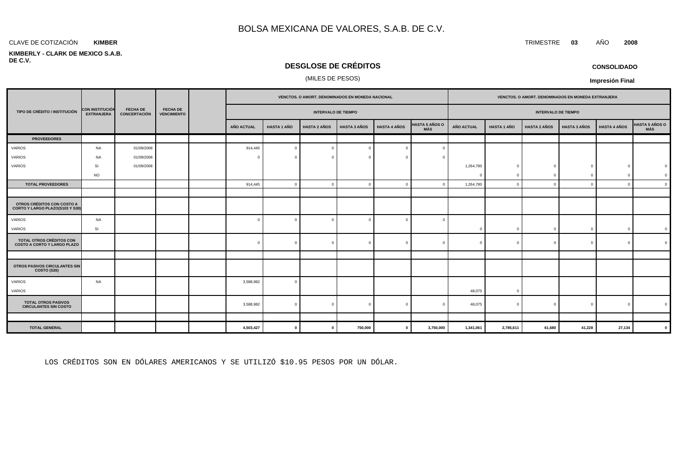#### CLAVE DE COTIZACIÓN TRIMESTRE **03** AÑO **2008 KIMBER**

#### **KIMBERLY - CLARK DE MEXICO S.A.B. DE C.V.**

### **DESGLOSE DE CRÉDITOS**

#### (MILES DE PESOS)

|                                                                |                                             |                                        |                                       |                   |                    | VENCTOS. O AMORT. DENOMINADOS EN MONEDA NACIONAL |                     |                     |                       |                   |                    | VENCTOS. O AMORT. DENOMINADOS EN MONEDA EXTRANJERA |                     |                     |                |
|----------------------------------------------------------------|---------------------------------------------|----------------------------------------|---------------------------------------|-------------------|--------------------|--------------------------------------------------|---------------------|---------------------|-----------------------|-------------------|--------------------|----------------------------------------------------|---------------------|---------------------|----------------|
| TIPO DE CRÉDITO / INSTITUCIÓN                                  | <b>CON INSTITUCIÓN</b><br><b>EXTRANJERA</b> | <b>FECHA DE</b><br><b>CONCERTACIÓN</b> | <b>FECHA DE</b><br><b>VENCIMIENTO</b> |                   |                    | <b>INTERVALO DE TIEMPO</b>                       |                     |                     |                       |                   |                    | <b>INTERVALO DE TIEMPO</b>                         |                     |                     |                |
|                                                                |                                             |                                        |                                       | <b>AÑO ACTUAL</b> | <b>HASTA 1 AÑO</b> | <b>HASTA 2 AÑOS</b>                              | <b>HASTA 3 AÑOS</b> | <b>HASTA 4 AÑOS</b> | HASTA 5 AÑOS O<br>MÁS | <b>AÑO ACTUAL</b> | <b>HASTA 1 AÑO</b> | <b>HASTA 2 AÑOS</b>                                | <b>HASTA 3 AÑOS</b> | <b>HASTA 4 AÑOS</b> | HASTA 5 AÑOS O |
| <b>PROVEEDORES</b>                                             |                                             |                                        |                                       |                   |                    |                                                  |                     |                     |                       |                   |                    |                                                    |                     |                     |                |
| VARIOS                                                         | <b>NA</b>                                   | 01/09/2008                             |                                       | 914,445           | $\Omega$           | $\overline{0}$                                   |                     | $\Omega$            |                       |                   |                    |                                                    |                     |                     |                |
| VARIOS                                                         | <b>NA</b>                                   | 01/09/2008                             |                                       | $\sqrt{ }$        |                    | $\overline{0}$                                   |                     |                     |                       |                   |                    |                                                    |                     |                     |                |
| VARIOS                                                         | SI                                          | 01/09/2008                             |                                       |                   |                    |                                                  |                     |                     |                       | 1,264,780         | $\Omega$           | $\Omega$                                           | $\Omega$            | $\Omega$            |                |
|                                                                | <b>NO</b>                                   |                                        |                                       |                   |                    |                                                  |                     |                     |                       | $\Omega$          |                    | $\Omega$                                           | $\Omega$            | $\Omega$            |                |
| <b>TOTAL PROVEEDORES</b>                                       |                                             |                                        |                                       | 914,445           | $\Omega$           | $\overline{0}$                                   |                     | $\Omega$            |                       | 1,264,780         | C                  | $\Omega$                                           | $\Omega$            | $\mathbf{0}$        |                |
|                                                                |                                             |                                        |                                       |                   |                    |                                                  |                     |                     |                       |                   |                    |                                                    |                     |                     |                |
| OTROS CRÉDITOS CON COSTO A<br>CORTO Y LARGO PLAZO(S103 Y S30)  |                                             |                                        |                                       |                   |                    |                                                  |                     |                     |                       |                   |                    |                                                    |                     |                     |                |
| VARIOS                                                         | <b>NA</b>                                   |                                        |                                       | $\Omega$          |                    | $\overline{0}$                                   |                     | $\Omega$            |                       |                   |                    |                                                    |                     |                     |                |
| VARIOS                                                         | <b>SI</b>                                   |                                        |                                       |                   |                    |                                                  |                     |                     |                       | $^{\circ}$        | $\Omega$           | $\Omega$                                           | $\overline{0}$      | $\mathbf{0}$        |                |
| TOTAL OTROS CRÉDITOS CON<br><b>COSTO A CORTO Y LARGO PLAZO</b> |                                             |                                        |                                       | $\Omega$          | $\Omega$           | $\overline{0}$                                   | $\Omega$            | $\Omega$            |                       | $\Omega$          | $\Omega$           | $\Omega$                                           | $\Omega$            | $\overline{0}$      |                |
|                                                                |                                             |                                        |                                       |                   |                    |                                                  |                     |                     |                       |                   |                    |                                                    |                     |                     |                |
| <b>OTROS PASIVOS CIRCULANTES SIN</b><br>COSTO (S26)            |                                             |                                        |                                       |                   |                    |                                                  |                     |                     |                       |                   |                    |                                                    |                     |                     |                |
| <b>VARIOS</b><br>VARIOS                                        | NA                                          |                                        |                                       | 3,588,982         | $\Omega$           |                                                  |                     |                     |                       | 48,075            | $\Omega$           |                                                    |                     |                     |                |
| <b>TOTAL OTROS PASIVOS</b><br><b>CIRCULANTES SIN COSTO</b>     |                                             |                                        |                                       | 3,588,982         | $\Omega$           | $\overline{0}$                                   |                     |                     |                       | 48,075            | -C                 | $\Omega$                                           | $\Omega$            | $\Omega$            |                |
|                                                                |                                             |                                        |                                       |                   |                    |                                                  |                     |                     |                       |                   |                    |                                                    |                     |                     |                |
| <b>TOTAL GENERAL</b>                                           |                                             |                                        |                                       | 4,503,427         | $\mathbf{0}$       | $\mathbf{0}$                                     | 750,000             | $\mathbf 0$         | 3,750,000             | 1,341,061         | 2,785,611          | 61,680                                             | 41,228              | 27,134              |                |

LOS CRÉDITOS SON EN DÓLARES AMERICANOS Y SE UTILIZÓ \$10.95 PESOS POR UN DÓLAR.

**CONSOLIDADO**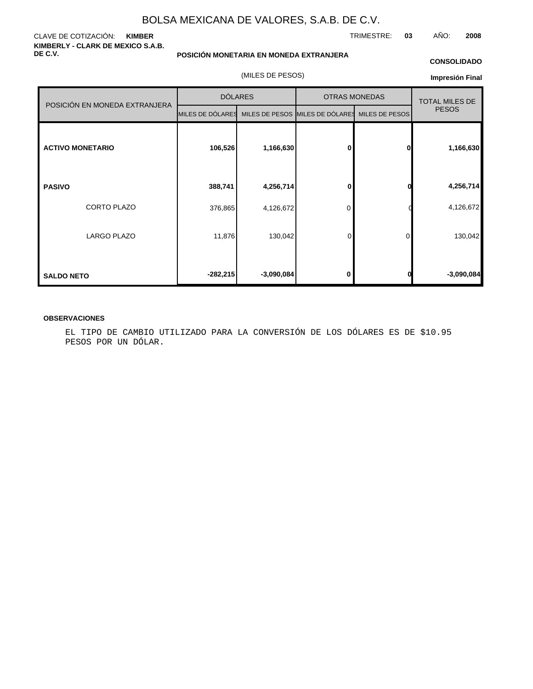#### CLAVE DE COTIZACIÓN: **KIMBER KIMBERLY - CLARK DE MEXICO S.A.B. DE C.V.**

#### **POSICIÓN MONETARIA EN MONEDA EXTRANJERA**

#### **CONSOLIDADO**

TRIMESTRE: **03** AÑO: **2008**

(MILES DE PESOS)

#### **Impresión Final**

|                               |                  | <b>DÓLARES</b> | <b>OTRAS MONEDAS</b>            | <b>TOTAL MILES DE</b> |              |
|-------------------------------|------------------|----------------|---------------------------------|-----------------------|--------------|
| POSICIÓN EN MONEDA EXTRANJERA | MILES DE DÓLARES |                | MILES DE PESOS MILES DE DÓLARES | MILES DE PESOS        | <b>PESOS</b> |
| <b>ACTIVO MONETARIO</b>       | 106,526          | 1,166,630      | $\mathbf{0}$                    | 0                     | 1,166,630    |
| <b>PASIVO</b>                 | 388,741          | 4,256,714      | 0                               | 0                     | 4,256,714    |
| <b>CORTO PLAZO</b>            | 376,865          | 4,126,672      | 0                               |                       | 4,126,672    |
| <b>LARGO PLAZO</b>            | 11,876           | 130,042        | 0                               | 0                     | 130,042      |
| <b>SALDO NETO</b>             | $-282,215$       | $-3,090,084$   | 0                               | 0                     | $-3,090,084$ |

#### **OBSERVACIONES**

EL TIPO DE CAMBIO UTILIZADO PARA LA CONVERSIÓN DE LOS DÓLARES ES DE \$10.95 PESOS POR UN DÓLAR.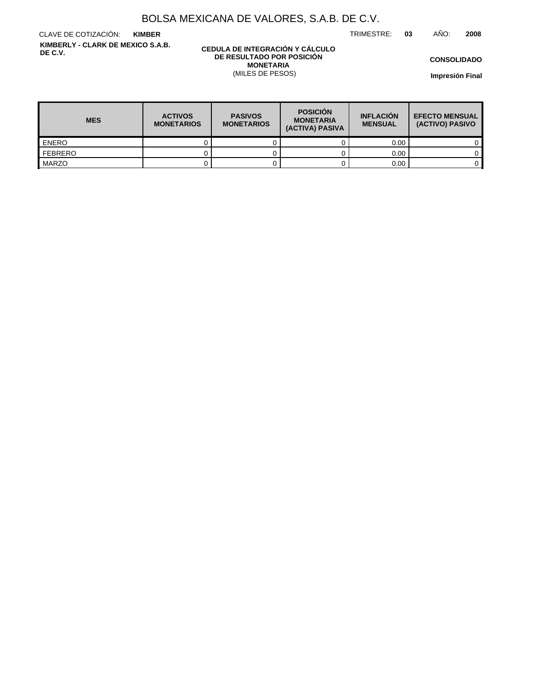TRIMESTRE: **03** AÑO: **2008**

CLAVE DE COTIZACIÓN: **KIMBER KIMBERLY - CLARK DE MEXICO S.A.B. DE C.V.**

#### **CEDULA DE INTEGRACIÓN Y CÁLCULO DE RESULTADO POR POSICIÓN MONETARIA** (MILES DE PESOS)

**CONSOLIDADO**

| <b>MES</b>   | <b>ACTIVOS</b><br><b>MONETARIOS</b> | <b>PASIVOS</b><br><b>MONETARIOS</b> | <b>POSICIÓN</b><br><b>MONETARIA</b><br>(ACTIVA) PASIVA | <b>INFLACIÓN</b><br><b>MENSUAL</b> | <b>EFECTO MENSUAL</b><br>(ACTIVO) PASIVO |
|--------------|-------------------------------------|-------------------------------------|--------------------------------------------------------|------------------------------------|------------------------------------------|
| <b>ENERO</b> |                                     |                                     |                                                        | 0.00                               |                                          |
| FEBRERO      |                                     |                                     |                                                        | 0.00                               |                                          |
| MARZO        |                                     |                                     |                                                        | 0.00                               |                                          |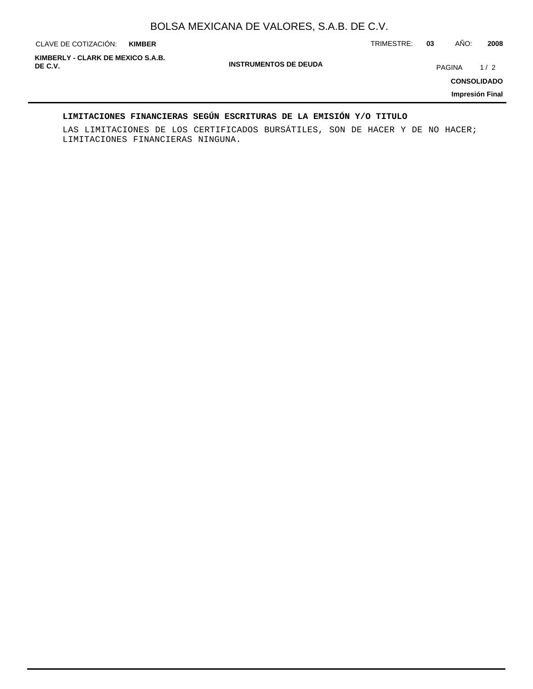**KIMBER**

CLAVE DE COTIZACIÓN: TRIMESTRE: **03** AÑO: **2008**

**INSTRUMENTOS DE DEUDA DE C.V.** PAGINA 1 / 2 **KIMBERLY - CLARK DE MEXICO S.A.B.**

**CONSOLIDADO**

**Impresión Final**

### **LIMITACIONES FINANCIERAS SEGÚN ESCRITURAS DE LA EMISIÓN Y/O TITULO**

LAS LIMITACIONES DE LOS CERTIFICADOS BURSÁTILES, SON DE HACER Y DE NO HACER; LIMITACIONES FINANCIERAS NINGUNA.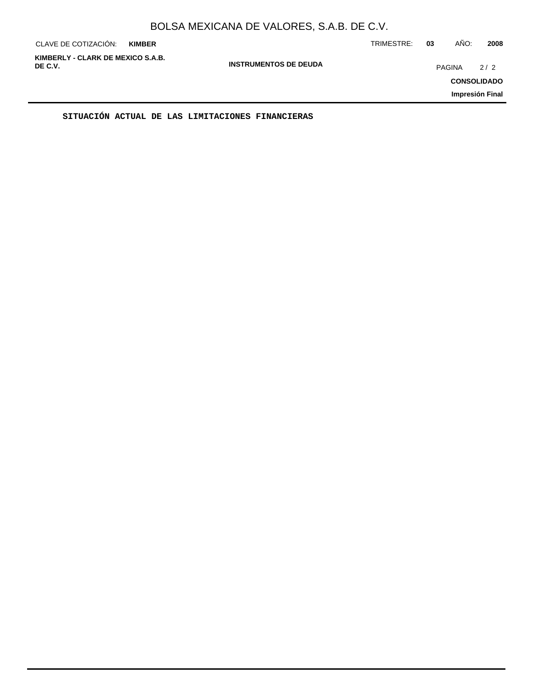| CLAVE DE COTIZACIÓN:                         | <b>KIMBER</b> |                              | TRIMESTRE: | 03            | AÑO: | 2008                                         |
|----------------------------------------------|---------------|------------------------------|------------|---------------|------|----------------------------------------------|
| KIMBERLY - CLARK DE MEXICO S.A.B.<br>DE C.V. |               | <b>INSTRUMENTOS DE DEUDA</b> |            | <b>PAGINA</b> |      | 2/2<br><b>CONSOLIDADO</b><br>Impresión Final |
|                                              |               |                              |            |               |      |                                              |

**SITUACIÓN ACTUAL DE LAS LIMITACIONES FINANCIERAS**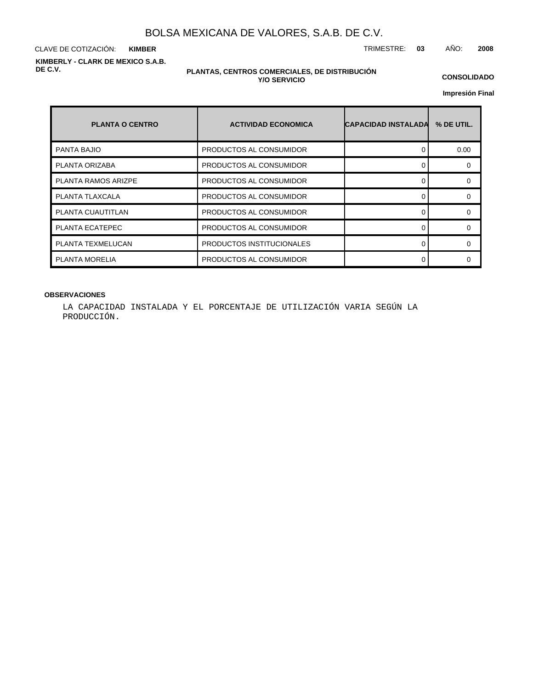CLAVE DE COTIZACIÓN: TRIMESTRE: **03** AÑO: **2008 KIMBER KIMBERLY - CLARK DE MEXICO S.A.B. DE C.V.**

#### **PLANTAS, CENTROS COMERCIALES, DE DISTRIBUCIÓN Y/O SERVICIO**

**CONSOLIDADO**

**Impresión Final**

| <b>PLANTA O CENTRO</b>     | <b>ACTIVIDAD ECONOMICA</b> | <b>CAPACIDAD INSTALADA</b> | % DE UTIL. |
|----------------------------|----------------------------|----------------------------|------------|
| <b>PANTA BAJIO</b>         | PRODUCTOS AL CONSUMIDOR    |                            | 0.00       |
| PLANTA ORIZABA             | PRODUCTOS AL CONSUMIDOR    |                            |            |
| <b>PLANTA RAMOS ARIZPE</b> | PRODUCTOS AL CONSUMIDOR    |                            | ∩          |
| PLANTA TLAXCALA            | PRODUCTOS AL CONSUMIDOR    |                            |            |
| PLANTA CUAUTITLAN          | PRODUCTOS AL CONSUMIDOR    |                            |            |
| PLANTA ECATEPEC            | PRODUCTOS AL CONSUMIDOR    | ∩                          |            |
| PLANTA TEXMELUCAN          | PRODUCTOS INSTITUCIONALES  |                            |            |
| PLANTA MORELIA             | PRODUCTOS AL CONSUMIDOR    |                            |            |

#### **OBSERVACIONES**

LA CAPACIDAD INSTALADA Y EL PORCENTAJE DE UTILIZACIÓN VARIA SEGÚN LA PRODUCCIÓN.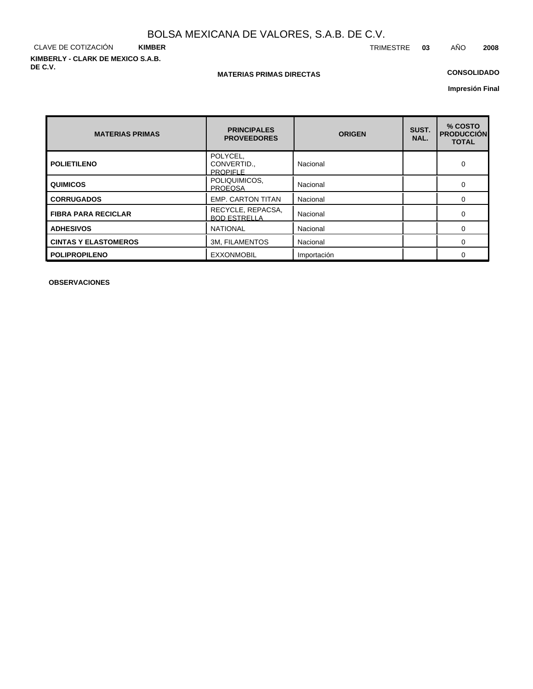CLAVE DE COTIZACIÓN **KIMBER KIMBERLY - CLARK DE MEXICO S.A.B. DE C.V.**

### **MATERIAS PRIMAS DIRECTAS**

### **CONSOLIDADO**

**Impresión Final**

| <b>MATERIAS PRIMAS</b>      | <b>PRINCIPALES</b><br><b>PROVEEDORES</b>   | <b>ORIGEN</b> | SUST.<br>NAL. | % COSTO<br><b>PRODUCCIÓN</b><br><b>TOTAL</b> |
|-----------------------------|--------------------------------------------|---------------|---------------|----------------------------------------------|
| <b>POLIETILENO</b>          | POLYCEL,<br>CONVERTID.,<br><b>PROPIFLE</b> | Nacional      |               | 0                                            |
| <b>QUIMICOS</b>             | POLIQUIMICOS,<br><b>PROEQSA</b>            | Nacional      |               | $\Omega$                                     |
| <b>CORRUGADOS</b>           | <b>EMP. CARTON TITAN</b>                   | Nacional      |               | $\Omega$                                     |
| <b>FIBRA PARA RECICLAR</b>  | RECYCLE, REPACSA,<br><b>BOD ESTRELLA</b>   | Nacional      |               | $\Omega$                                     |
| <b>ADHESIVOS</b>            | <b>NATIONAL</b>                            | Nacional      |               | 0                                            |
| <b>CINTAS Y ELASTOMEROS</b> | <b>3M. FILAMENTOS</b>                      | Nacional      |               | 0                                            |
| <b>POLIPROPILENO</b>        | <b>EXXONMOBIL</b>                          | Importación   |               | $\Omega$                                     |

**OBSERVACIONES**

TRIMESTRE **03** AÑO **2008**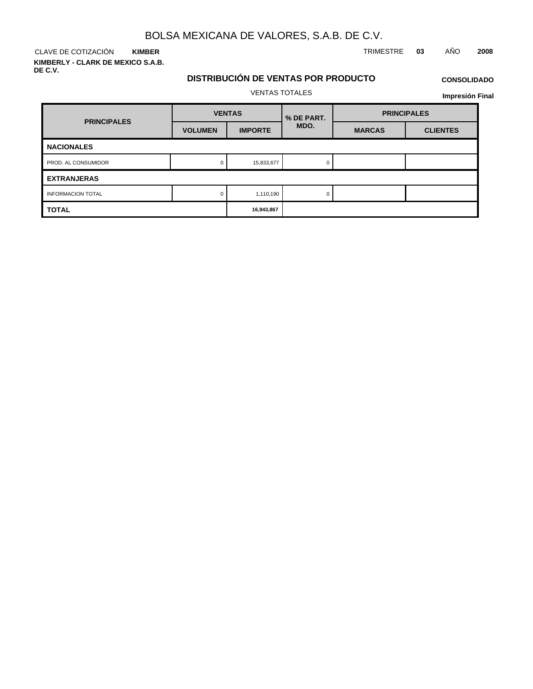CLAVE DE COTIZACIÓN TRIMESTRE **03** AÑO **2008 KIMBER**

**KIMBERLY - CLARK DE MEXICO S.A.B. DE C.V.**

# **DISTRIBUCIÓN DE VENTAS POR PRODUCTO**

## **CONSOLIDADO**

VENTAS TOTALES

| <b>PRINCIPALES</b>       |                | <b>VENTAS</b>  | % DE PART. | <b>PRINCIPALES</b> |                 |  |
|--------------------------|----------------|----------------|------------|--------------------|-----------------|--|
|                          | <b>VOLUMEN</b> | <b>IMPORTE</b> | MDO.       | <b>MARCAS</b>      | <b>CLIENTES</b> |  |
| <b>NACIONALES</b>        |                |                |            |                    |                 |  |
| PROD. AL CONSUMIDOR      |                | 15,833,677     |            |                    |                 |  |
| <b>EXTRANJERAS</b>       |                |                |            |                    |                 |  |
| <b>INFORMACION TOTAL</b> |                | 1,110,190      |            |                    |                 |  |
| <b>TOTAL</b>             |                | 16,943,867     |            |                    |                 |  |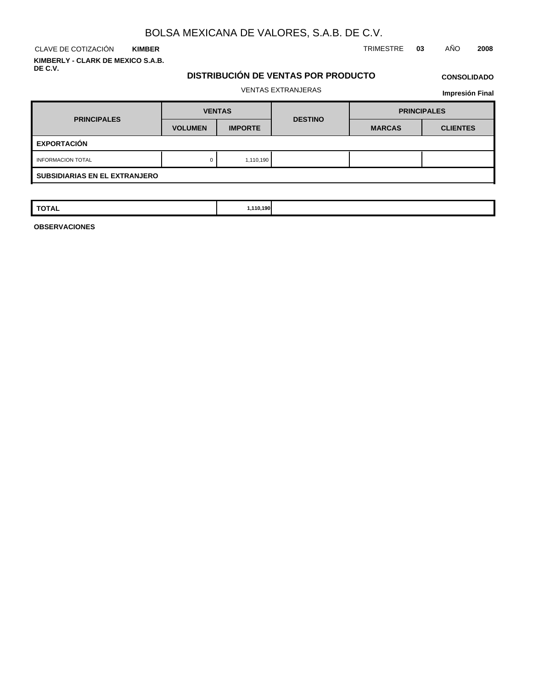**KIMBER KIMBERLY - CLARK DE MEXICO S.A.B. DE C.V.**

CLAVE DE COTIZACIÓN TRIMESTRE **03** AÑO **2008**

### **DISTRIBUCIÓN DE VENTAS POR PRODUCTO**

# **CONSOLIDADO**

### VENTAS EXTRANJERAS

**Impresión Final**

| <b>PRINCIPALES</b>                   | <b>VENTAS</b>  |                | <b>DESTINO</b> | <b>PRINCIPALES</b> |                 |  |  |  |
|--------------------------------------|----------------|----------------|----------------|--------------------|-----------------|--|--|--|
|                                      | <b>VOLUMEN</b> | <b>IMPORTE</b> |                | <b>MARCAS</b>      | <b>CLIENTES</b> |  |  |  |
| <b>EXPORTACIÓN</b>                   |                |                |                |                    |                 |  |  |  |
| <b>INFORMACION TOTAL</b>             | 0              | 1,110,190      |                |                    |                 |  |  |  |
| <b>SUBSIDIARIAS EN EL EXTRANJERO</b> |                |                |                |                    |                 |  |  |  |

| $T^*$<br>110,190<br><b>TOTAL</b> |  |
|----------------------------------|--|
|----------------------------------|--|

**OBSERVACIONES**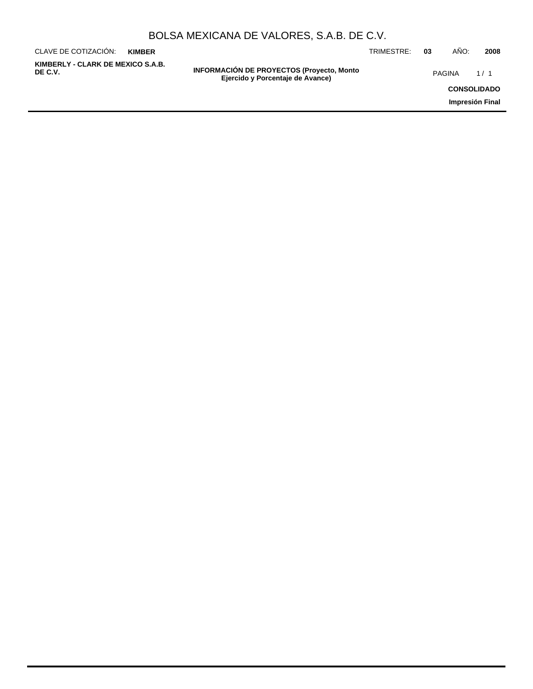| BOLSA MEXICANA DE VALORES, S.A.B. DE C.V. |  |  |  |
|-------------------------------------------|--|--|--|
|-------------------------------------------|--|--|--|

**INFORMACIÓN DE PROYECTOS (Proyecto, Monto DE C.V.** PAGINA 1 / 1**Ejercido y Porcentaje de Avance)** CLAVE DE COTIZACIÓN: TRIMESTRE: **03** AÑO: **2008 CONSOLIDADO Impresión Final KIMBER KIMBERLY - CLARK DE MEXICO S.A.B.**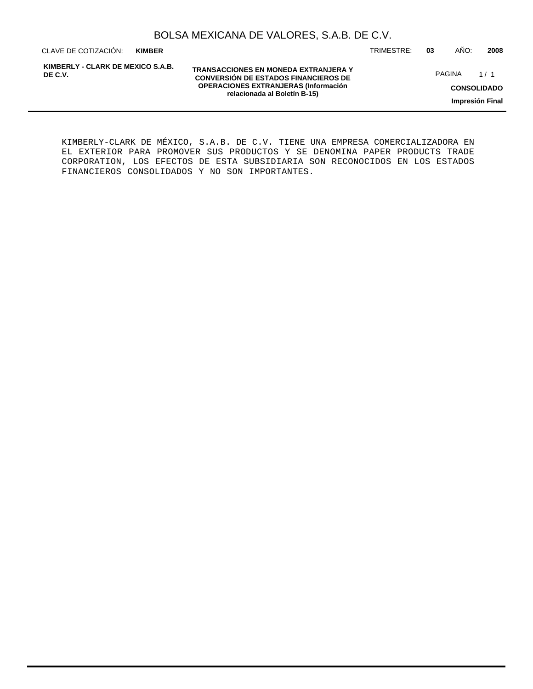**KIMBER**

**KIMBERLY - CLARK DE MEXICO S.A.B. DE C.V.**

**TRANSACCIONES EN MONEDA EXTRANJERA Y CONVERSIÓN DE ESTADOS FINANCIEROS DE OPERACIONES EXTRANJERAS (Información relacionada al Boletín B-15)**

CLAVE DE COTIZACIÓN: TRIMESTRE: **03** AÑO: **2008**

PAGINA 1/1

**CONSOLIDADO**

**Impresión Final**

KIMBERLY-CLARK DE MÉXICO, S.A.B. DE C.V. TIENE UNA EMPRESA COMERCIALIZADORA EN EL EXTERIOR PARA PROMOVER SUS PRODUCTOS Y SE DENOMINA PAPER PRODUCTS TRADE CORPORATION, LOS EFECTOS DE ESTA SUBSIDIARIA SON RECONOCIDOS EN LOS ESTADOS FINANCIEROS CONSOLIDADOS Y NO SON IMPORTANTES.